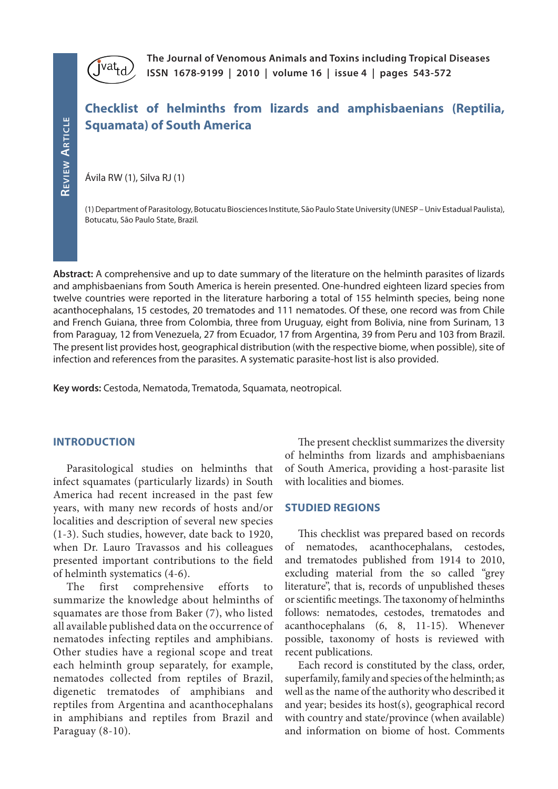

**The Journal of Venomous Animals and Toxins including Tropical Diseases ISSN 1678-9199 | 2010 | volume 16 | issue 4 | pages 543-572** 

# **Checklist of helminths from lizards and amphisbaenians (Reptilia, Squamata) of South America**

Ávila RW (1), Silva RJ (1)

(1) Department of Parasitology, Botucatu Biosciences Institute, São Paulo State University (UNESP – Univ Estadual Paulista), Botucatu, São Paulo State, Brazil*.*

**Abstract:** A comprehensive and up to date summary of the literature on the helminth parasites of lizards and amphisbaenians from South America is herein presented. One-hundred eighteen lizard species from twelve countries were reported in the literature harboring a total of 155 helminth species, being none acanthocephalans, 15 cestodes, 20 trematodes and 111 nematodes. Of these, one record was from Chile and French Guiana, three from Colombia, three from Uruguay, eight from Bolivia, nine from Surinam, 13 from Paraguay, 12 from Venezuela, 27 from Ecuador, 17 from Argentina, 39 from Peru and 103 from Brazil. The present list provides host, geographical distribution (with the respective biome, when possible), site of infection and references from the parasites. A systematic parasite-host list is also provided.

**Key words:** Cestoda, Nematoda, Trematoda, Squamata, neotropical.

#### **INTRODUCTION**

Parasitological studies on helminths that infect squamates (particularly lizards) in South America had recent increased in the past few years, with many new records of hosts and/or localities and description of several new species (1-3). Such studies, however, date back to 1920, when Dr. Lauro Travassos and his colleagues presented important contributions to the field of helminth systematics (4-6).

The first comprehensive efforts to summarize the knowledge about helminths of squamates are those from Baker (7), who listed all available published data on the occurrence of nematodes infecting reptiles and amphibians. Other studies have a regional scope and treat each helminth group separately, for example, nematodes collected from reptiles of Brazil, digenetic trematodes of amphibians and reptiles from Argentina and acanthocephalans in amphibians and reptiles from Brazil and Paraguay (8-10).

The present checklist summarizes the diversity of helminths from lizards and amphisbaenians of South America, providing a host-parasite list with localities and biomes.

#### **STUDIED REGIONS**

This checklist was prepared based on records of nematodes, acanthocephalans, cestodes, and trematodes published from 1914 to 2010, excluding material from the so called "grey literature", that is, records of unpublished theses or scientific meetings. The taxonomy of helminths follows: nematodes, cestodes, trematodes and acanthocephalans (6, 8, 11-15). Whenever possible, taxonomy of hosts is reviewed with recent publications.

Each record is constituted by the class, order, superfamily, family and species of the helminth; as well as the name of the authority who described it and year; besides its host(s), geographical record with country and state/province (when available) and information on biome of host. Comments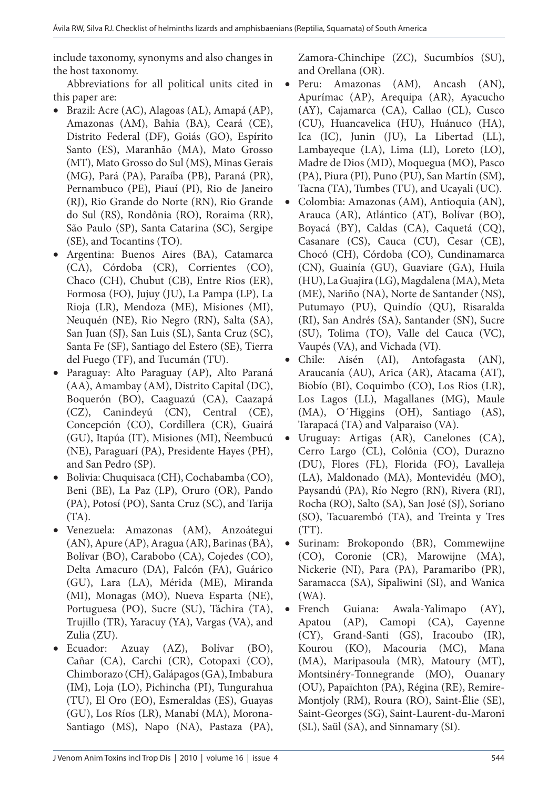include taxonomy, synonyms and also changes in the host taxonomy.

Abbreviations for all political units cited in this paper are:

- • Brazil: Acre (AC), Alagoas (AL), Amapá (AP), Amazonas (AM), Bahia (BA), Ceará (CE), Distrito Federal (DF), Goiás (GO), Espírito Santo (ES), Maranhão (MA), Mato Grosso (MT), Mato Grosso do Sul (MS), Minas Gerais (MG), Pará (PA), Paraíba (PB), Paraná (PR), Pernambuco (PE), Piauí (PI), Rio de Janeiro (RJ), Rio Grande do Norte (RN), Rio Grande do Sul (RS), Rondônia (RO), Roraima (RR), São Paulo (SP), Santa Catarina (SC), Sergipe (SE), and Tocantins (TO).
- • Argentina: Buenos Aires (BA), Catamarca (CA), Córdoba (CR), Corrientes (CO), Chaco (CH), Chubut (CB), Entre Rios (ER), Formosa (FO), Jujuy (JU), La Pampa (LP), La Rioja (LR), Mendoza (ME), Misiones (MI), Neuquén (NE), Rio Negro (RN), Salta (SA), San Juan (SJ), San Luis (SL), Santa Cruz (SC), Santa Fe (SF), Santiago del Estero (SE), Tierra del Fuego (TF), and Tucumán (TU).
- • Paraguay: Alto Paraguay (AP), Alto Paraná (AA), Amambay (AM), Distrito Capital (DC), Boquerón (BO), Caaguazú (CA), Caazapá (CZ), Canindeyú (CN), Central (CE), Concepción (CO), Cordillera (CR), Guairá (GU), Itapúa (IT), Misiones (MI), Ñeembucú (NE), Paraguarí (PA), Presidente Hayes (PH), and San Pedro (SP).
- • Bolivia: Chuquisaca (CH), Cochabamba (CO), Beni (BE), La Paz (LP), Oruro (OR), Pando (PA), Potosí (PO), Santa Cruz (SC), and Tarija (TA).
- • Venezuela: Amazonas (AM), Anzoátegui (AN), Apure (AP), Aragua (AR), Barinas (BA), Bolívar (BO), Carabobo (CA), Cojedes (CO), Delta Amacuro (DA), Falcón (FA), Guárico (GU), Lara (LA), Mérida (ME), Miranda (MI), Monagas (MO), Nueva Esparta (NE), Portuguesa (PO), Sucre (SU), Táchira (TA), Trujillo (TR), Yaracuy (YA), Vargas (VA), and Zulia (ZU).
- Ecuador: Azuay (AZ), Bolívar (BO), Cañar (CA), Carchi (CR), Cotopaxi (CO), Chimborazo (CH), Galápagos (GA), Imbabura (IM), Loja (LO), Pichincha (PI), Tungurahua (TU), El Oro (EO), Esmeraldas (ES), Guayas (GU), Los Ríos (LR), Manabí (MA), Morona-Santiago (MS), Napo (NA), Pastaza (PA),

Zamora-Chinchipe (ZC), Sucumbíos (SU), and Orellana (OR).

- Peru: Amazonas (AM), Ancash (AN), Apurímac (AP), Arequipa (AR), Ayacucho (AY), Cajamarca (CA), Callao (CL), Cusco (CU), Huancavelica (HU), Huánuco (HA), Ica (IC), Junin (JU), La Libertad (LL), Lambayeque (LA), Lima (LI), Loreto (LO), Madre de Dios (MD), Moquegua (MO), Pasco (PA), Piura (PI), Puno (PU), San Martín (SM), Tacna (TA), Tumbes (TU), and Ucayali (UC).
- Colombia: Amazonas (AM), Antioquia (AN), Arauca (AR), Atlántico (AT), Bolívar (BO), Boyacá (BY), Caldas (CA), Caquetá (CQ), Casanare (CS), Cauca (CU), Cesar (CE), Chocó (CH), Córdoba (CO), Cundinamarca (CN), Guainía (GU), Guaviare (GA), Huila (HU), La Guajira (LG), Magdalena (MA), Meta (ME), Nariño (NA), Norte de Santander (NS), Putumayo (PU), Quindío (QU), Risaralda (RI), San Andrés (SA), Santander (SN), Sucre (SU), Tolima (TO), Valle del Cauca (VC), Vaupés (VA), and Vichada (VI).
- Chile: Aisén (AI), Antofagasta (AN), Araucanía (AU), Arica (AR), Atacama (AT), Biobío (BI), Coquimbo (CO), Los Rios (LR), Los Lagos (LL), Magallanes (MG), Maule (MA), O´Higgins (OH), Santiago (AS), Tarapacá (TA) and Valparaiso (VA).
- Uruguay: Artigas (AR), Canelones (CA), Cerro Largo (CL), Colônia (CO), Durazno (DU), Flores (FL), Florida (FO), Lavalleja (LA), Maldonado (MA), Montevidéu (MO), Paysandú (PA), Río Negro (RN), Rivera (RI), Rocha (RO), Salto (SA), San José (SJ), Soriano (SO), Tacuarembó (TA), and Treinta y Tres  $(TT)$ .
- • Surinam: Brokopondo (BR), Commewijne (CO), Coronie (CR), Marowijne (MA), Nickerie (NI), Para (PA), Paramaribo (PR), Saramacca (SA), Sipaliwini (SI), and Wanica (WA).
- French Guiana: Awala-Yalimapo (AY), Apatou (AP), Camopi (CA), Cayenne (CY), Grand-Santi (GS), Iracoubo (IR), Kourou (KO), Macouria (MC), Mana (MA), Maripasoula (MR), Matoury (MT), Montsinéry-Tonnegrande (MO), Ouanary (OU), Papaïchton (PA), Régina (RE), Remire-Montjoly (RM), Roura (RO), Saint-Élie (SE), Saint-Georges (SG), Saint-Laurent-du-Maroni (SL), Saül (SA), and Sinnamary (SI).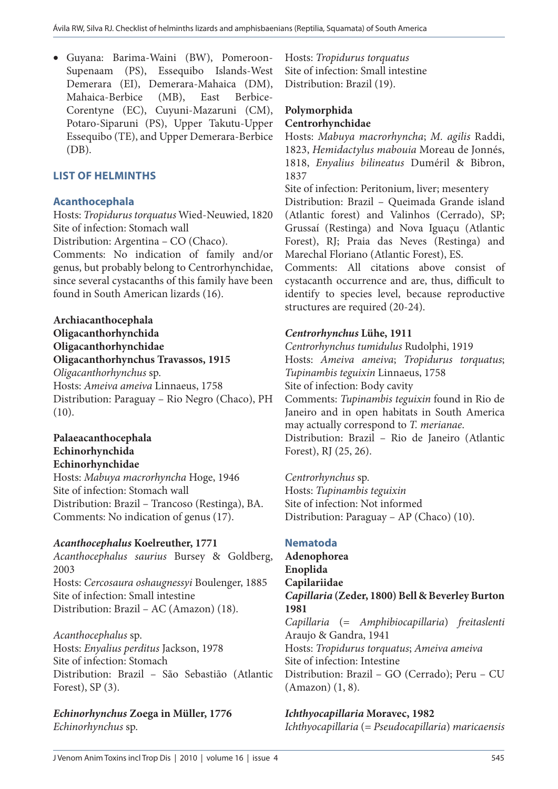• Guyana: Barima-Waini (BW), Pomeroon-Supenaam (PS), Essequibo Islands-West Demerara (EI), Demerara-Mahaica (DM), Mahaica-Berbice (MB), East Berbice-Corentyne (EC), Cuyuni-Mazaruni (CM), Potaro-Siparuni (PS), Upper Takutu-Upper Essequibo (TE), and Upper Demerara-Berbice (DB).

# **LIST OF HELMINTHS**

# **Acanthocephala**

Hosts: *Tropidurus torquatus* Wied-Neuwied, 1820 Site of infection: Stomach wall

Distribution: Argentina – CO (Chaco).

Comments: No indication of family and/or genus, but probably belong to Centrorhynchidae, since several cystacanths of this family have been found in South American lizards (16).

#### **Archiacanthocephala Oligacanthorhynchida Oligacanthorhynchidae Oligacanthorhynchus Travassos, 1915** *Oligacanthorhynchus* sp.

Hosts: *Ameiva ameiva* Linnaeus, 1758 Distribution: Paraguay – Rio Negro (Chaco), PH (10).

#### **Palaeacanthocephala Echinorhynchida Echinorhynchidae**

Hosts: *Mabuya macrorhyncha* Hoge, 1946 Site of infection: Stomach wall Distribution: Brazil – Trancoso (Restinga), BA. Comments: No indication of genus (17).

# *Acanthocephalus* **Koelreuther, 1771**

*Acanthocephalus saurius* Bursey & Goldberg, 2003 Hosts: *Cercosaura oshaugnessyi* Boulenger, 1885 Site of infection: Small intestine Distribution: Brazil – AC (Amazon) (18).

*Acanthocephalus* sp. Hosts: *Enyalius perditus* Jackson, 1978 Site of infection: Stomach Distribution: Brazil – São Sebastião (Atlantic Forest),  $SP(3)$ .

*Echinorhynchus* **Zoega in Müller, 1776** *Echinorhynchus* sp.

Hosts: *Tropidurus torquatus* Site of infection: Small intestine Distribution: Brazil (19).

# **Polymorphida**

#### **Centrorhynchidae**

Hosts: *Mabuya macrorhyncha*; *M. agilis* Raddi, 1823, *Hemidactylus mabouia* Moreau de Jonnés, 1818, *Enyalius bilineatus* Duméril & Bibron, 1837

Site of infection: Peritonium, liver; mesentery Distribution: Brazil – Queimada Grande island (Atlantic forest) and Valinhos (Cerrado), SP; Grussaí (Restinga) and Nova Iguaçu (Atlantic Forest), RJ; Praia das Neves (Restinga) and Marechal Floriano (Atlantic Forest), ES.

Comments: All citations above consist of cystacanth occurrence and are, thus, difficult to identify to species level, because reproductive structures are required (20-24).

# *Centrorhynchus* **Lühe, 1911**

*Centrorhynchus tumidulus* Rudolphi, 1919 Hosts: *Ameiva ameiva*; *Tropidurus torquatus*; *Tupinambis teguixin* Linnaeus, 1758 Site of infection: Body cavity Comments: *Tupinambis teguixin* found in Rio de Janeiro and in open habitats in South America may actually correspond to *T. merianae*. Distribution: Brazil – Rio de Janeiro (Atlantic Forest), RJ (25, 26).

*Centrorhynchus* sp. Hosts: *Tupinambis teguixin* Site of infection: Not informed Distribution: Paraguay – AP (Chaco) (10).

# **Nematoda**

**Adenophorea Enoplida Capilariidae** *Capillaria* **(Zeder, 1800) Bell & Beverley Burton 1981** *Capillaria* (= *Amphibiocapillaria*) *freitaslenti*  Araujo & Gandra, 1941 Hosts: *Tropidurus torquatus*; *Ameiva ameiva* Site of infection: Intestine Distribution: Brazil – GO (Cerrado); Peru – CU (Amazon) (1, 8).

*Ichthyocapillaria* **Moravec, 1982** *Ichthyocapillaria* (= *Pseudocapillaria*) *maricaensis*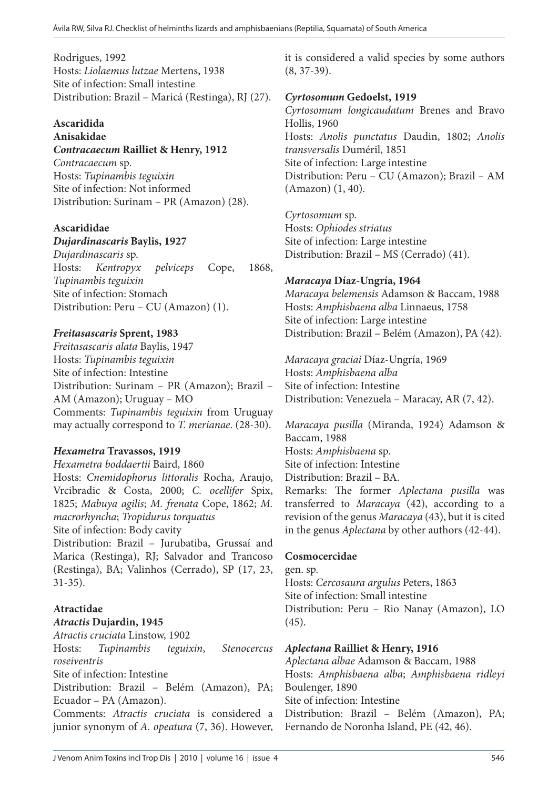Rodrigues, 1992 Hosts: *Liolaemus lutzae* Mertens, 1938 Site of infection: Small intestine Distribution: Brazil – Maricá (Restinga), RJ (27).

# **Ascaridida**

#### **Anisakidae** *Contracaecum* **Railliet & Henry, 1912**

*Contracaecum* sp. Hosts: *Tupinambis teguixin* Site of infection: Not informed Distribution: Surinam – PR (Amazon) (28).

# **Ascarididae**

# *Dujardinascaris* **Baylis, 1927**

*Dujardinascaris* sp. Hosts: *Kentropyx pelviceps* Cope, 1868, *Tupinambis teguixin* Site of infection: Stomach Distribution: Peru – CU (Amazon) (1).

# *Freitasascaris* **Sprent, 1983**

*Freitasascaris alata* Baylis, 1947 Hosts: *Tupinambis teguixin* Site of infection: Intestine Distribution: Surinam – PR (Amazon); Brazil – AM (Amazon); Uruguay – MO Comments: *Tupinambis teguixin* from Uruguay may actually correspond to *T. merianae*. (28-30).

# *Hexametra* **Travassos, 1919**

*Hexametra boddaertii* Baird, 1860 Hosts: *Cnemidophorus littoralis* Rocha, Araujo, Vrcibradic & Costa, 2000; *C. ocellifer* Spix, 1825; *Mabuya agilis*; *M. frenata* Cope, 1862; *M. macrorhyncha*; *Tropidurus torquatus* Site of infection: Body cavity Distribution: Brazil – Jurubatiba, Grussaí and Marica (Restinga), RJ; Salvador and Trancoso (Restinga), BA; Valinhos (Cerrado), SP (17, 23, 31-35).

# **Atractidae**

# *Atractis* **Dujardin, 1945**

*Atractis cruciata* Linstow, 1902 Hosts: *Tupinambis teguixin*, *Stenocercus roseiventris* Site of infection: Intestine Distribution: Brazil – Belém (Amazon), PA; Ecuador – PA (Amazon).

Comments: *Atractis cruciata* is considered a junior synonym of *A. opeatura* (7, 36). However,

it is considered a valid species by some authors (8, 37-39).

# *Cyrtosomum* **Gedoelst, 1919**

*Cyrtosomum longicaudatum* Brenes and Bravo Hollis, 1960 Hosts: *Anolis punctatus* Daudin, 1802; *Anolis transversalis* Duméril, 1851 Site of infection: Large intestine Distribution: Peru – CU (Amazon); Brazil – AM (Amazon) (1, 40).

*Cyrtosomum* sp. Hosts: *Ophiodes striatus* Site of infection: Large intestine Distribution: Brazil – MS (Cerrado) (41).

# *Maracaya* **Díaz-Ungría, 1964**

*Maracaya belemensis* Adamson & Baccam, 1988 Hosts: *Amphisbaena alba* Linnaeus, 1758 Site of infection: Large intestine Distribution: Brazil – Belém (Amazon), PA (42).

*Maracaya graciai* Díaz-Ungría, 1969 Hosts: *Amphisbaena alba* Site of infection: Intestine Distribution: Venezuela – Maracay, AR (7, 42).

*Maracaya pusilla* (Miranda, 1924) Adamson & Baccam, 1988 Hosts: *Amphisbaena* sp. Site of infection: Intestine Distribution: Brazil – BA. Remarks: The former *Aplectana pusilla* was transferred to *Maracaya* (42), according to a revision of the genus *Maracaya* (43), but it is cited in the genus *Aplectana* by other authors (42-44).

#### **Cosmocercidae**

gen. sp. Hosts: *Cercosaura argulus* Peters, 1863 Site of infection: Small intestine Distribution: Peru – Rio Nanay (Amazon), LO (45).

#### *Aplectana* **Railliet & Henry, 1916**

*Aplectana albae* Adamson & Baccam, 1988 Hosts: *Amphisbaena alba*; *Amphisbaena ridleyi*  Boulenger, 1890 Site of infection: Intestine Distribution: Brazil – Belém (Amazon), PA; Fernando de Noronha Island, PE (42, 46).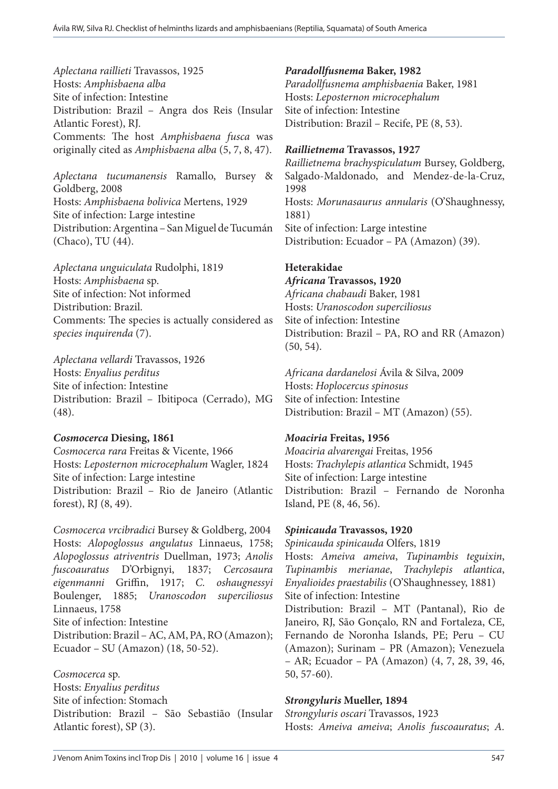*Aplectana raillieti* Travassos, 1925 Hosts: *Amphisbaena alba* Site of infection: Intestine Distribution: Brazil – Angra dos Reis (Insular Atlantic Forest), RJ. Comments: The host *Amphisbaena fusca* was originally cited as *Amphisbaena alba* (5, 7, 8, 47).

*Aplectana tucumanensis* Ramallo, Bursey & Goldberg, 2008 Hosts: *Amphisbaena bolivica* Mertens, 1929 Site of infection: Large intestine Distribution: Argentina – San Miguel de Tucumán (Chaco), TU (44).

*Aplectana unguiculata* Rudolphi, 1819 Hosts: *Amphisbaena* sp. Site of infection: Not informed Distribution: Brazil. Comments: The species is actually considered as *species inquirenda* (7).

*Aplectana vellardi* Travassos, 1926 Hosts: *Enyalius perditus* Site of infection: Intestine Distribution: Brazil – Ibitipoca (Cerrado), MG (48).

#### *Cosmocerca* **Diesing, 1861**

*Cosmocerca rara* Freitas & Vicente, 1966 Hosts: *Leposternon microcephalum* Wagler, 1824 Site of infection: Large intestine Distribution: Brazil – Rio de Janeiro (Atlantic forest), RJ (8, 49).

*Cosmocerca vrcibradici* Bursey & Goldberg, 2004 Hosts: *Alopoglossus angulatus* Linnaeus, 1758; *Alopoglossus atriventris* Duellman, 1973; *Anolis fuscoauratus* D'Orbignyi, 1837; *Cercosaura eigenmanni* Griffin, 1917; *C. oshaugnessyi*  Boulenger, 1885; *Uranoscodon superciliosus*  Linnaeus, 1758 Site of infection: Intestine Distribution: Brazil – AC, AM, PA, RO (Amazon); Ecuador – SU (Amazon) (18, 50-52).

*Cosmocerca* sp. Hosts: *Enyalius perditus*  Site of infection: Stomach Distribution: Brazil – São Sebastião (Insular Atlantic forest), SP (3).

*Paradollfusnema* **Baker, 1982** *Paradollfusnema amphisbaenia* Baker, 1981 Hosts: *Leposternon microcephalum*  Site of infection: Intestine Distribution: Brazil – Recife, PE (8, 53).

# *Raillietnema* **Travassos, 1927**

*Raillietnema brachyspiculatum* Bursey, Goldberg, Salgado-Maldonado, and Mendez-de-la-Cruz, 1998 Hosts: *Morunasaurus annularis* (O'Shaughnessy, 1881) Site of infection: Large intestine Distribution: Ecuador – PA (Amazon) (39).

# **Heterakidae**

*Africana* **Travassos, 1920** *Africana chabaudi* Baker, 1981 Hosts: *Uranoscodon superciliosus* Site of infection: Intestine Distribution: Brazil – PA, RO and RR (Amazon) (50, 54).

*Africana dardanelosi* Ávila & Silva, 2009 Hosts: *Hoplocercus spinosus* Site of infection: Intestine Distribution: Brazil – MT (Amazon) (55).

# *Moaciria* **Freitas, 1956**

*Moaciria alvarengai* Freitas, 1956 Hosts: *Trachylepis atlantica* Schmidt, 1945 Site of infection: Large intestine Distribution: Brazil – Fernando de Noronha Island, PE (8, 46, 56).

# *Spinicauda* **Travassos, 1920**

*Spinicauda spinicauda* Olfers, 1819 Hosts: *Ameiva ameiva*, *Tupinambis teguixin*, *Tupinambis merianae*, *Trachylepis atlantica*, *Enyalioides praestabilis* (O'Shaughnessey, 1881) Site of infection: Intestine Distribution: Brazil – MT (Pantanal), Rio de Janeiro, RJ, São Gonçalo, RN and Fortaleza, CE, Fernando de Noronha Islands, PE; Peru – CU (Amazon); Surinam – PR (Amazon); Venezuela – AR; Ecuador – PA (Amazon) (4, 7, 28, 39, 46, 50, 57-60).

# *Strongyluris* **Mueller, 1894**

*Strongyluris oscari* Travassos, 1923 Hosts: *Ameiva ameiva*; *Anolis fuscoauratus*; *A.*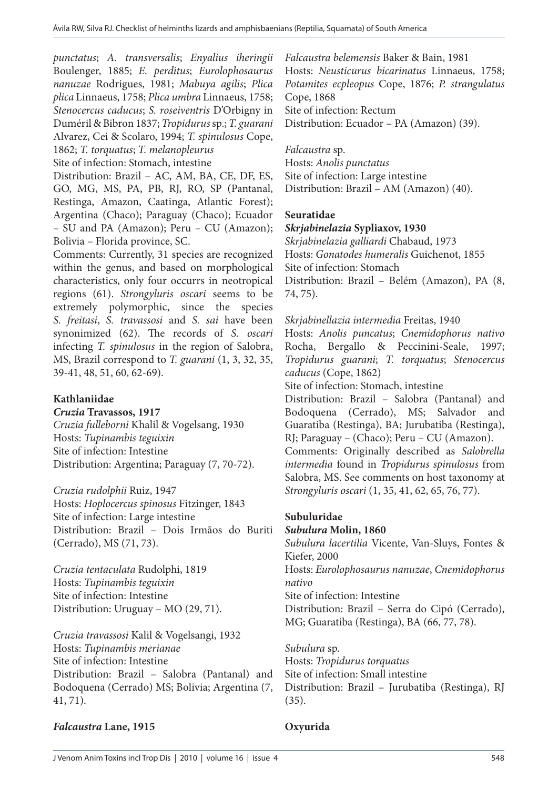*punctatus*; *A. transversalis*; *Enyalius iheringii*  Boulenger, 1885; *E. perditus*; *Eurolophosaurus nanuzae* Rodrigues, 1981; *Mabuya agilis*; *Plica plica* Linnaeus, 1758; *Plica umbra* Linnaeus, 1758; *Stenocercus caducus*; *S. roseiventris* D'Orbigny in Duméril & Bibron 1837; *Tropidurus* sp.; *T. guarani*  Alvarez, Cei & Scolaro, 1994; *T. spinulosus* Cope, 1862; *T. torquatus*; *T. melanopleurus*

Site of infection: Stomach, intestine

Distribution: Brazil – AC, AM, BA, CE, DF, ES, GO, MG, MS, PA, PB, RJ, RO, SP (Pantanal, Restinga, Amazon, Caatinga, Atlantic Forest); Argentina (Chaco); Paraguay (Chaco); Ecuador – SU and PA (Amazon); Peru – CU (Amazon); Bolivia – Florida province, SC.

Comments: Currently, 31 species are recognized within the genus, and based on morphological characteristics, only four occurrs in neotropical regions (61). *Strongyluris oscari* seems to be extremely polymorphic, since the species *S. freitasi*, *S. travassosi* and *S. sai* have been synonimized (62). The records of *S. oscari*  infecting *T. spinulosus* in the region of Salobra, MS, Brazil correspond to *T. guarani* (1, 3, 32, 35, 39-41, 48, 51, 60, 62-69).

#### **Kathlaniidae**

#### *Cruzia* **Travassos, 1917**

*Cruzia fulleborni* Khalil & Vogelsang, 1930 Hosts: *Tupinambis teguixin* Site of infection: Intestine Distribution: Argentina; Paraguay (7, 70-72).

*Cruzia rudolphii* Ruiz, 1947

Hosts: *Hoplocercus spinosus* Fitzinger, 1843 Site of infection: Large intestine Distribution: Brazil – Dois Irmãos do Buriti (Cerrado), MS (71, 73).

*Cruzia tentaculata* Rudolphi, 1819 Hosts: *Tupinambis teguixin* Site of infection: Intestine Distribution: Uruguay – MO (29, 71).

*Cruzia travassosi* Kalil & Vogelsangi, 1932 Hosts: *Tupinambis merianae* Site of infection: Intestine Distribution: Brazil – Salobra (Pantanal) and Bodoquena (Cerrado) MS; Bolivia; Argentina (7, 41, 71).

*Falcaustra belemensis* Baker & Bain, 1981 Hosts: *Neusticurus bicarinatus* Linnaeus, 1758; *Potamites ecpleopus* Cope, 1876; *P. strangulatus*  Cope, 1868 Site of infection: Rectum Distribution: Ecuador – PA (Amazon) (39).

*Falcaustra* sp.

Hosts: *Anolis punctatus* Site of infection: Large intestine Distribution: Brazil – AM (Amazon) (40).

#### **Seuratidae**

#### *Skrjabinelazia* **Sypliaxov, 1930**

*Skrjabinelazia galliardi* Chabaud, 1973 Hosts: *Gonatodes humeralis* Guichenot, 1855 Site of infection: Stomach Distribution: Brazil – Belém (Amazon), PA (8, 74, 75).

*Skrjabinellazia intermedia* Freitas, 1940

Hosts: *Anolis puncatus*; *Cnemidophorus nativo* Rocha, Bergallo & Peccinini-Seale, 1997; *Tropidurus guarani*; *T. torquatus*; *Stenocercus caducus* (Cope, 1862)

Site of infection: Stomach, intestine

Distribution: Brazil – Salobra (Pantanal) and Bodoquena (Cerrado), MS; Salvador and Guaratiba (Restinga), BA; Jurubatiba (Restinga), RJ; Paraguay – (Chaco); Peru – CU (Amazon).

Comments: Originally described as *Salobrella intermedia* found in *Tropidurus spinulosus* from Salobra, MS. See comments on host taxonomy at *Strongyluris oscari* (1, 35, 41, 62, 65, 76, 77).

#### **Subuluridae**

#### *Subulura* **Molin, 1860**

*Subulura lacertilia* Vicente, Van-Sluys, Fontes & Kiefer, 2000

Hosts: *Eurolophosaurus nanuzae*, *Cnemidophorus nativo*

Site of infection: Intestine

Distribution: Brazil – Serra do Cipó (Cerrado), MG; Guaratiba (Restinga), BA (66, 77, 78).

*Subulura* sp. Hosts: *Tropidurus torquatus* Site of infection: Small intestine Distribution: Brazil – Jurubatiba (Restinga), RJ (35).

#### *Falcaustra* **Lane, 1915**

# **Oxyurida**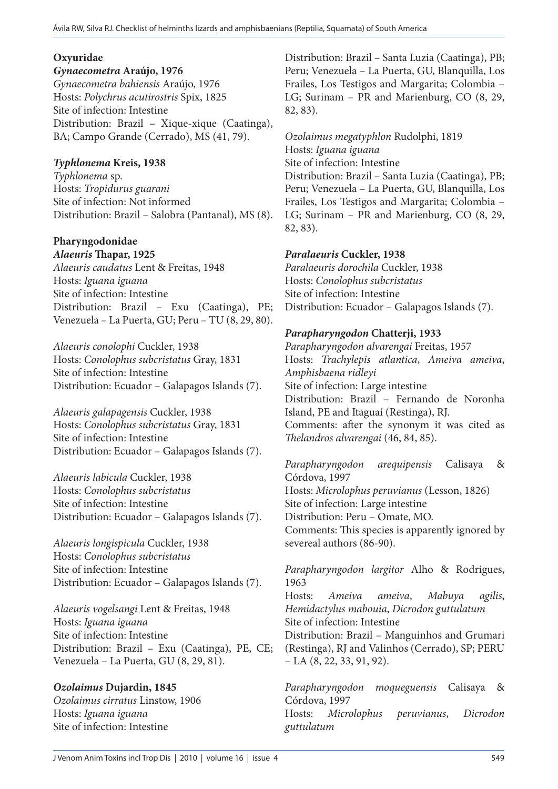#### **Oxyuridae**

*Gynaecometra* **Araújo, 1976** *Gynaecometra bahiensis* Araújo, 1976 Hosts: *Polychrus acutirostris* Spix, 1825 Site of infection: Intestine Distribution: Brazil – Xique-xique (Caatinga), BA; Campo Grande (Cerrado), MS (41, 79).

# *Typhlonema* **Kreis, 1938**

*Typhlonema* sp. Hosts: *Tropidurus guarani*  Site of infection: Not informed Distribution: Brazil – Salobra (Pantanal), MS (8).

#### **Pharyngodonidae** *Alaeuris* **Thapar, 1925**

*Alaeuris caudatus* Lent & Freitas, 1948 Hosts: *Iguana iguana* Site of infection: Intestine Distribution: Brazil – Exu (Caatinga), PE; Venezuela – La Puerta, GU; Peru – TU (8, 29, 80).

*Alaeuris conolophi* Cuckler, 1938 Hosts: *Conolophus subcristatus* Gray, 1831 Site of infection: Intestine Distribution: Ecuador – Galapagos Islands (7).

*Alaeuris galapagensis* Cuckler, 1938 Hosts: *Conolophus subcristatus* Gray, 1831 Site of infection: Intestine Distribution: Ecuador – Galapagos Islands (7).

*Alaeuris labicula* Cuckler, 1938 Hosts: *Conolophus subcristatus*  Site of infection: Intestine Distribution: Ecuador – Galapagos Islands (7).

*Alaeuris longispicula* Cuckler, 1938 Hosts: *Conolophus subcristatus*  Site of infection: Intestine Distribution: Ecuador – Galapagos Islands (7).

*Alaeuris vogelsangi* Lent & Freitas, 1948 Hosts: *Iguana iguana* Site of infection: Intestine Distribution: Brazil – Exu (Caatinga), PE, CE; Venezuela – La Puerta, GU (8, 29, 81).

# *Ozolaimus* **Dujardin, 1845**

*Ozolaimus cirratus* Linstow, 1906 Hosts: *Iguana iguana* Site of infection: Intestine

Distribution: Brazil – Santa Luzia (Caatinga), PB; Peru; Venezuela – La Puerta, GU, Blanquilla, Los Frailes, Los Testigos and Margarita; Colombia – LG; Surinam – PR and Marienburg, CO (8, 29, 82, 83).

*Ozolaimus megatyphlon* Rudolphi, 1819 Hosts: *Iguana iguana* Site of infection: Intestine Distribution: Brazil – Santa Luzia (Caatinga), PB; Peru; Venezuela – La Puerta, GU, Blanquilla, Los Frailes, Los Testigos and Margarita; Colombia – LG; Surinam – PR and Marienburg, CO (8, 29, 82, 83).

# *Paralaeuris* **Cuckler, 1938**

*Paralaeuris dorochila* Cuckler, 1938 Hosts: *Conolophus subcristatus* Site of infection: Intestine Distribution: Ecuador – Galapagos Islands (7).

# *Parapharyngodon* **Chatterji, 1933**

*Parapharyngodon alvarengai* Freitas, 1957 Hosts: *Trachylepis atlantica*, *Ameiva ameiva*, *Amphisbaena ridleyi* Site of infection: Large intestine Distribution: Brazil – Fernando de Noronha Island, PE and Itaguaí (Restinga), RJ. Comments: after the synonym it was cited as *Thelandros alvarengai* (46, 84, 85).

*Parapharyngodon arequipensis* Calisaya & Córdova, 1997 Hosts: *Microlophus peruvianus* (Lesson, 1826) Site of infection: Large intestine Distribution: Peru – Omate, MO. Comments: This species is apparently ignored by severeal authors (86-90).

*Parapharyngodon largitor* Alho & Rodrigues, 1963 Hosts: *Ameiva ameiva*, *Mabuya agilis*, *Hemidactylus mabouia*, *Dicrodon guttulatum*

Site of infection: Intestine Distribution: Brazil – Manguinhos and Grumari

*guttulatum*

(Restinga), RJ and Valinhos (Cerrado), SP; PERU  $-LA (8, 22, 33, 91, 92).$ 

*Parapharyngodon moqueguensis* Calisaya & Córdova, 1997 Hosts: *Microlophus peruvianus*, *Dicrodon*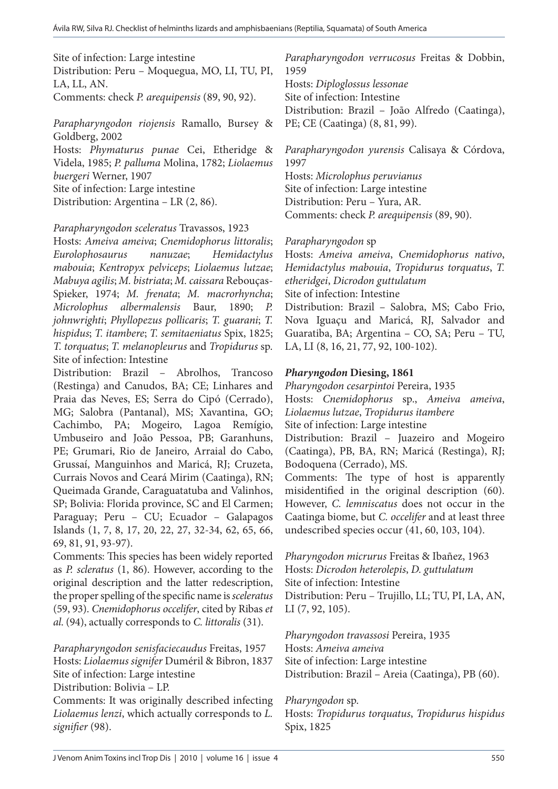Site of infection: Large intestine

Distribution: Peru – Moquegua, MO, LI, TU, PI, LA, LL, AN. Comments: check *P. arequipensis* (89, 90, 92).

*Parapharyngodon riojensis* Ramallo, Bursey & Goldberg, 2002 Hosts: *Phymaturus punae* Cei, Etheridge & Videla, 1985; *P. palluma* Molina, 1782; *Liolaemus buergeri* Werner, 1907 Site of infection: Large intestine Distribution: Argentina – LR (2, 86).

#### *Parapharyngodon sceleratus* Travassos, 1923

Hosts: *Ameiva ameiva*; *Cnemidophorus littoralis*; *Eurolophosaurus nanuzae*; *Hemidactylus mabouia*; *Kentropyx pelviceps*; *Liolaemus lutzae*; *Mabuya agilis*; *M. bistriata*; *M. caissara* Rebouças-Spieker, 1974; *M. frenata*; *M. macrorhyncha*; *Microlophus albermalensis* Baur, 1890; *P. johnwrighti*; *Phyllopezus pollicaris*; *T. guarani*; *T. hispidus*; *T. itambere*; *T. semitaeniatus* Spix, 1825; *T. torquatus*; *T. melanopleurus* and *Tropidurus* sp. Site of infection: Intestine

Distribution: Brazil – Abrolhos, Trancoso (Restinga) and Canudos, BA; CE; Linhares and Praia das Neves, ES; Serra do Cipó (Cerrado), MG; Salobra (Pantanal), MS; Xavantina, GO; Cachimbo, PA; Mogeiro, Lagoa Remígio, Umbuseiro and João Pessoa, PB; Garanhuns, PE; Grumari, Rio de Janeiro, Arraial do Cabo, Grussaí, Manguinhos and Maricá, RJ; Cruzeta, Currais Novos and Ceará Mirim (Caatinga), RN; Queimada Grande, Caraguatatuba and Valinhos, SP; Bolivia: Florida province, SC and El Carmen; Paraguay; Peru – CU; Ecuador – Galapagos Islands (1, 7, 8, 17, 20, 22, 27, 32-34, 62, 65, 66, 69, 81, 91, 93-97).

Comments: This species has been widely reported as *P. scleratus* (1, 86). However, according to the original description and the latter redescription, the proper spelling of the specific name is *sceleratus*  (59, 93). *Cnemidophorus occelifer*, cited by Ribas *et al*. (94), actually corresponds to *C. littoralis* (31).

*Parapharyngodon senisfaciecaudus* Freitas, 1957 Hosts: *Liolaemus signifer* Duméril & Bibron, 1837 Site of infection: Large intestine

Distribution: Bolivia – LP.

Comments: It was originally described infecting *Liolaemus lenzi*, which actually corresponds to *L. signifier* (98).

*Parapharyngodon verrucosus* Freitas & Dobbin, 1959 Hosts: *Diploglossus lessonae* Site of infection: Intestine Distribution: Brazil – João Alfredo (Caatinga), PE; CE (Caatinga) (8, 81, 99).

*Parapharyngodon yurensis* Calisaya & Córdova, 1997

Hosts: *Microlophus peruvianus* Site of infection: Large intestine Distribution: Peru – Yura, AR. Comments: check *P. arequipensis* (89, 90).

*Parapharyngodon* sp

Hosts: *Ameiva ameiva*, *Cnemidophorus nativo*, *Hemidactylus mabouia*, *Tropidurus torquatus*, *T. etheridgei*, *Dicrodon guttulatum* Site of infection: Intestine Distribution: Brazil – Salobra, MS; Cabo Frio, Nova Iguaçu and Maricá, RJ, Salvador and Guaratiba, BA; Argentina – CO, SA; Peru – TU,

LA, LI (8, 16, 21, 77, 92, 100-102).

*Pharyngodon* **Diesing, 1861** *Pharyngodon cesarpintoi* Pereira, 1935 Hosts: *Cnemidophorus* sp., *Ameiva ameiva*, *Liolaemus lutzae*, *Tropidurus itambere*  Site of infection: Large intestine Distribution: Brazil – Juazeiro and Mogeiro (Caatinga), PB, BA, RN; Maricá (Restinga), RJ; Bodoquena (Cerrado), MS. Comments: The type of host is apparently

misidentified in the original description (60). However, *C. lemniscatus* does not occur in the Caatinga biome, but *C. occelifer* and at least three undescribed species occur (41, 60, 103, 104).

*Pharyngodon micrurus* Freitas & Ibañez, 1963 Hosts: *Dicrodon heterolepis*, *D. guttulatum* Site of infection: Intestine Distribution: Peru – Trujillo, LL; TU, PI, LA, AN, LI (7, 92, 105).

*Pharyngodon travassosi* Pereira, 1935 Hosts: *Ameiva ameiva* Site of infection: Large intestine Distribution: Brazil – Areia (Caatinga), PB (60).

#### *Pharyngodon* sp.

Hosts: *Tropidurus torquatus*, *Tropidurus hispidus*  Spix, 1825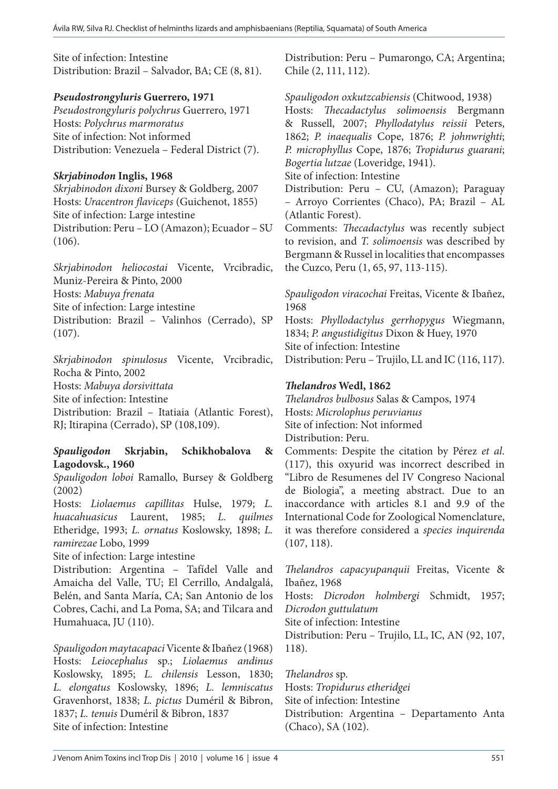Site of infection: Intestine Distribution: Brazil – Salvador, BA; CE (8, 81).

# *Pseudostrongyluris* **Guerrero, 1971**

*Pseudostrongyluris polychrus* Guerrero, 1971 Hosts: *Polychrus marmoratus* Site of infection: Not informed Distribution: Venezuela – Federal District (7).

# *Skrjabinodon* **Inglis, 1968**

*Skrjabinodon dixoni* Bursey & Goldberg, 2007 Hosts: *Uracentron flaviceps* (Guichenot, 1855) Site of infection: Large intestine Distribution: Peru – LO (Amazon); Ecuador – SU (106).

*Skrjabinodon heliocostai* Vicente, Vrcibradic, Muniz-Pereira & Pinto, 2000 Hosts: *Mabuya frenata* Site of infection: Large intestine Distribution: Brazil – Valinhos (Cerrado), SP (107).

*Skrjabinodon spinulosus* Vicente, Vrcibradic, Rocha & Pinto, 2002 Hosts: *Mabuya dorsivittata*  Site of infection: Intestine Distribution: Brazil – Itatiaia (Atlantic Forest), RJ; Itirapina (Cerrado), SP (108,109).

# *Spauligodon* **Skrjabin, Schikhobalova & Lagodovsk., 1960**

*Spauligodon loboi* Ramallo, Bursey & Goldberg (2002)

Hosts: *Liolaemus capillitas* Hulse, 1979; *L. huacahuasicus* Laurent, 1985; *L. quilmes* Etheridge, 1993; *L. ornatus* Koslowsky, 1898; *L. ramirezae* Lobo, 1999

Site of infection: Large intestine

Distribution: Argentina – Tafídel Valle and Amaicha del Valle, TU; El Cerrillo, Andalgalá, Belén, and Santa María, CA; San Antonio de los Cobres, Cachi, and La Poma, SA; and Tilcara and Humahuaca, JU (110).

*Spauligodon maytacapaci* Vicente & Ibañez (1968) Hosts: *Leiocephalus* sp.; *Liolaemus andinus* Koslowsky, 1895; *L. chilensis* Lesson, 1830; *L. elongatus* Koslowsky, 1896; *L. lemniscatus* Gravenhorst, 1838; *L. pictus* Duméril & Bibron, 1837; *L. tenuis* Duméril & Bibron, 1837 Site of infection: Intestine

Distribution: Peru – Pumarongo, CA; Argentina; Chile (2, 111, 112).

*Spauligodon oxkutzcabiensis* (Chitwood, 1938)

Hosts: *Thecadactylus solimoensis* Bergmann & Russell, 2007; *Phyllodatylus reissii* Peters, 1862; *P. inaequalis* Cope, 1876; *P. johnwrighti*; *P. microphyllus* Cope, 1876; *Tropidurus guarani*; *Bogertia lutzae* (Loveridge, 1941).

Site of infection: Intestine

Distribution: Peru – CU, (Amazon); Paraguay – Arroyo Corrientes (Chaco), PA; Brazil – AL (Atlantic Forest).

Comments: *Thecadactylus* was recently subject to revision, and *T. solimoensis* was described by Bergmann & Russel in localities that encompasses the Cuzco, Peru (1, 65, 97, 113-115).

*Spauligodon viracochai* Freitas, Vicente & Ibañez, 1968

Hosts: *Phyllodactylus gerrhopygus* Wiegmann, 1834; *P. angustidigitus* Dixon & Huey, 1970 Site of infection: Intestine Distribution: Peru – Trujilo, LL and IC (116, 117).

# *Thelandros* **Wedl, 1862**

*Thelandros bulbosus* Salas & Campos, 1974 Hosts: *Microlophus peruvianus* Site of infection: Not informed Distribution: Peru. Comments: Despite the citation by Pérez *et al*.

(117), this oxyurid was incorrect described in "Libro de Resumenes del IV Congreso Nacional de Biologia", a meeting abstract. Due to an inaccordance with articles 8.1 and 9.9 of the International Code for Zoological Nomenclature, it was therefore considered a *species inquirenda* (107, 118).

*Thelandros capacyupanquii* Freitas, Vicente & Ibañez, 1968

Hosts: *Dicrodon holmbergi* Schmidt, 1957; *Dicrodon guttulatum*

Site of infection: Intestine

Distribution: Peru – Trujilo, LL, IC, AN (92, 107, 118).

*Thelandros* sp. Hosts: *Tropidurus etheridgei* Site of infection: Intestine Distribution: Argentina – Departamento Anta (Chaco), SA (102).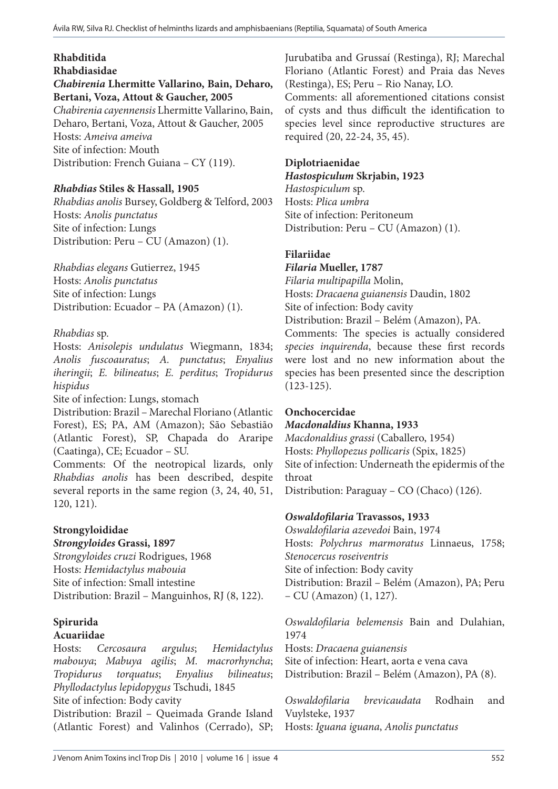# **Rhabditida**

#### **Rhabdiasidae**

*Chabirenia* **Lhermitte Vallarino, Bain, Deharo, Bertani, Voza, Attout & Gaucher, 2005**

*Chabirenia cayennensis* Lhermitte Vallarino, Bain, Deharo, Bertani, Voza, Attout & Gaucher, 2005 Hosts: *Ameiva ameiva* Site of infection: Mouth Distribution: French Guiana – CY (119).

# *Rhabdias* **Stiles & Hassall, 1905**

*Rhabdias anolis* Bursey, Goldberg & Telford, 2003 Hosts: *Anolis punctatus*  Site of infection: Lungs Distribution: Peru – CU (Amazon) (1).

*Rhabdias elegans* Gutierrez, 1945 Hosts: *Anolis punctatus*  Site of infection: Lungs Distribution: Ecuador – PA (Amazon) (1).

# *Rhabdias* sp.

Hosts: *Anisolepis undulatus* Wiegmann, 1834; *Anolis fuscoauratus*; *A. punctatus*; *Enyalius iheringii*; *E. bilineatus*; *E. perditus*; *Tropidurus hispidus*

Site of infection: Lungs, stomach

Distribution: Brazil – Marechal Floriano (Atlantic Forest), ES; PA, AM (Amazon); São Sebastião (Atlantic Forest), SP, Chapada do Araripe (Caatinga), CE; Ecuador – SU.

Comments: Of the neotropical lizards, only *Rhabdias anolis* has been described, despite several reports in the same region (3, 24, 40, 51, 120, 121).

# **Strongyloididae**

*Strongyloides* **Grassi, 1897** *Strongyloides cruzi* Rodrigues, 1968 Hosts: *Hemidactylus mabouia* Site of infection: Small intestine Distribution: Brazil – Manguinhos, RJ (8, 122).

#### **Spirurida Acuariidae**

Hosts: *Cercosaura argulus*; *Hemidactylus mabouya*; *Mabuya agilis*; *M. macrorhyncha*; *Tropidurus torquatus*; *Enyalius bilineatus*; *Phyllodactylus lepidopygus* Tschudi, 1845 Site of infection: Body cavity Distribution: Brazil – Queimada Grande Island

(Atlantic Forest) and Valinhos (Cerrado), SP;

Jurubatiba and Grussaí (Restinga), RJ; Marechal Floriano (Atlantic Forest) and Praia das Neves (Restinga), ES; Peru – Rio Nanay, LO.

Comments: all aforementioned citations consist of cysts and thus difficult the identification to species level since reproductive structures are required (20, 22-24, 35, 45).

# **Diplotriaenidae**

#### *Hastospiculum* **Skrjabin, 1923**

*Hastospiculum* sp. Hosts: *Plica umbra* Site of infection: Peritoneum Distribution: Peru – CU (Amazon) (1).

# **Filariidae**

#### *Filaria* **Mueller, 1787**

*Filaria multipapilla* Molin, Hosts: *Dracaena guianensis* Daudin, 1802 Site of infection: Body cavity Distribution: Brazil – Belém (Amazon), PA.

Comments: The species is actually considered *species inquirenda*, because these first records were lost and no new information about the species has been presented since the description (123-125).

# **Onchocercidae**

# *Macdonaldius* **Khanna, 1933**

*Macdonaldius grassi* (Caballero, 1954) Hosts: *Phyllopezus pollicaris* (Spix, 1825) Site of infection: Underneath the epidermis of the throat

Distribution: Paraguay – CO (Chaco) (126).

# *Oswaldofilaria* **Travassos, 1933**

*Oswaldofilaria azevedoi* Bain, 1974 Hosts: *Polychrus marmoratus* Linnaeus, 1758; *Stenocercus roseiventris* Site of infection: Body cavity Distribution: Brazil – Belém (Amazon), PA; Peru – CU (Amazon) (1, 127).

*Oswaldofilaria belemensis* Bain and Dulahian, 1974

Hosts: *Dracaena guianensis*  Site of infection: Heart, aorta e vena cava Distribution: Brazil – Belém (Amazon), PA (8).

*Oswaldofilaria brevicaudata* Rodhain and Vuylsteke, 1937 Hosts: *Iguana iguana*, *Anolis punctatus*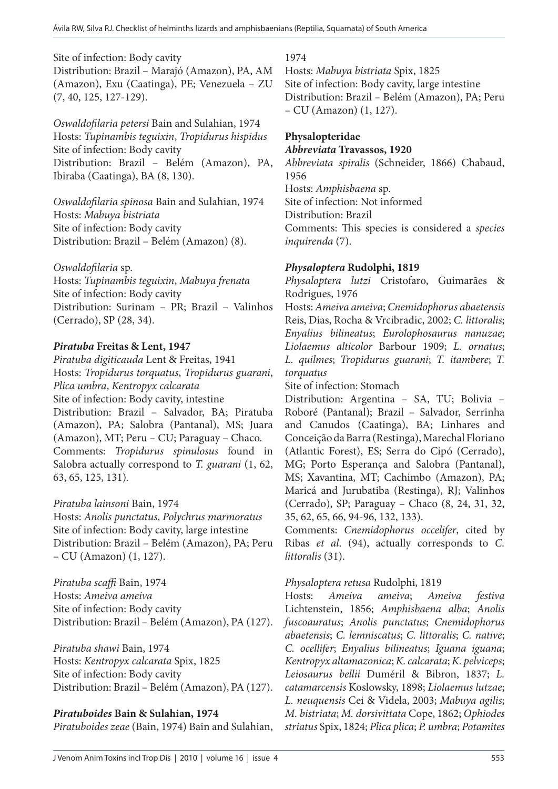Site of infection: Body cavity

Distribution: Brazil – Marajó (Amazon), PA, AM (Amazon), Exu (Caatinga), PE; Venezuela – ZU (7, 40, 125, 127-129).

*Oswaldofilaria petersi* Bain and Sulahian, 1974 Hosts: *Tupinambis teguixin*, *Tropidurus hispidus* Site of infection: Body cavity Distribution: Brazil – Belém (Amazon), PA, Ibiraba (Caatinga), BA (8, 130).

*Oswaldofilaria spinosa* Bain and Sulahian, 1974 Hosts: *Mabuya bistriata* Site of infection: Body cavity Distribution: Brazil – Belém (Amazon) (8).

*Oswaldofilaria* sp.

Hosts: *Tupinambis teguixin*, *Mabuya frenata* Site of infection: Body cavity Distribution: Surinam – PR; Brazil – Valinhos (Cerrado), SP (28, 34).

#### *Piratuba* **Freitas & Lent, 1947**

*Piratuba digiticauda* Lent & Freitas, 1941 Hosts: *Tropidurus torquatus*, *Tropidurus guarani*, *Plica umbra*, *Kentropyx calcarata* Site of infection: Body cavity, intestine Distribution: Brazil – Salvador, BA; Piratuba (Amazon), PA; Salobra (Pantanal), MS; Juara (Amazon), MT; Peru – CU; Paraguay – Chaco. Comments: *Tropidurus spinulosus* found in Salobra actually correspond to *T. guarani* (1, 62, 63, 65, 125, 131).

#### *Piratuba lainsoni* Bain, 1974

Hosts: *Anolis punctatus*, *Polychrus marmoratus* Site of infection: Body cavity, large intestine Distribution: Brazil – Belém (Amazon), PA; Peru – CU (Amazon) (1, 127).

*Piratuba scaffi* Bain, 1974 Hosts: *Ameiva ameiva* Site of infection: Body cavity Distribution: Brazil – Belém (Amazon), PA (127).

*Piratuba shawi* Bain, 1974 Hosts: *Kentropyx calcarata* Spix, 1825 Site of infection: Body cavity Distribution: Brazil – Belém (Amazon), PA (127).

#### *Piratuboides* **Bain & Sulahian, 1974**

*Piratuboides zeae* (Bain, 1974) Bain and Sulahian,

1974 Hosts: *Mabuya bistriata* Spix, 1825

Site of infection: Body cavity, large intestine Distribution: Brazil – Belém (Amazon), PA; Peru – CU (Amazon) (1, 127).

#### **Physalopteridae** *Abbreviata* **Travassos, 1920**

*Abbreviata spiralis* (Schneider, 1866) Chabaud, 1956 Hosts: *Amphisbaena* sp.

Site of infection: Not informed

Distribution: Brazil

Comments: This species is considered a *species inquirenda* (7).

# *Physaloptera* **Rudolphi, 1819**

*Physaloptera lutzi* Cristofaro, Guimarães & Rodrigues, 1976

Hosts: *Ameiva ameiva*; *Cnemidophorus abaetensis* Reis, Dias, Rocha & Vrcibradic, 2002; *C. littoralis*; *Enyalius bilineatus*; *Eurolophosaurus nanuzae*; *Liolaemus alticolor* Barbour 1909; *L. ornatus*; *L. quilmes*; *Tropidurus guarani*; *T. itambere*; *T. torquatus*

Site of infection: Stomach

Distribution: Argentina – SA, TU; Bolivia – Roboré (Pantanal); Brazil – Salvador, Serrinha and Canudos (Caatinga), BA; Linhares and Conceição da Barra (Restinga), Marechal Floriano (Atlantic Forest), ES; Serra do Cipó (Cerrado), MG; Porto Esperança and Salobra (Pantanal), MS; Xavantina, MT; Cachimbo (Amazon), PA; Maricá and Jurubatiba (Restinga), RJ; Valinhos (Cerrado), SP; Paraguay – Chaco (8, 24, 31, 32, 35, 62, 65, 66, 94-96, 132, 133).

Comments: *Cnemidophorus occelifer*, cited by Ribas *et al*. (94), actually corresponds to *C. littoralis* (31).

# *Physaloptera retusa* Rudolphi, 1819

Hosts: *Ameiva ameiva*; *Ameiva festiva*  Lichtenstein, 1856; *Amphisbaena alba*; *Anolis fuscoauratus*; *Anolis punctatus*; *Cnemidophorus abaetensis*; *C. lemniscatus*; *C. littoralis*; *C. native*; *C. ocellifer*; *Enyalius bilineatus*; *Iguana iguana*; *Kentropyx altamazonica*; *K. calcarata*; *K. pelviceps*; *Leiosaurus bellii* Duméril & Bibron, 1837; *L. catamarcensis* Koslowsky, 1898; *Liolaemus lutzae*; *L. neuquensis* Cei & Videla, 2003; *Mabuya agilis*; *M. bistriata*; *M. dorsivittata* Cope, 1862; *Ophiodes striatus* Spix, 1824; *Plica plica*; *P. umbra*; *Potamites*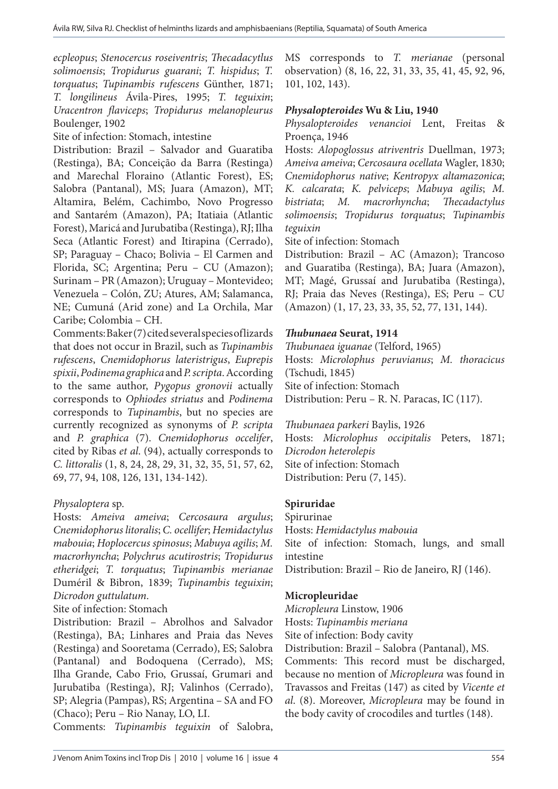*ecpleopus*; *Stenocercus roseiventris*; *Thecadacytlus solimoensis*; *Tropidurus guarani*; *T. hispidus*; *T. torquatus*; *Tupinambis rufescens* Günther, 1871; *T. longilineus* Ávila-Pires, 1995; *T. teguixin*; *Uracentron flaviceps*; *Tropidurus melanopleurus*  Boulenger, 1902

Site of infection: Stomach, intestine

Distribution: Brazil – Salvador and Guaratiba (Restinga), BA; Conceição da Barra (Restinga) and Marechal Floraino (Atlantic Forest), ES; Salobra (Pantanal), MS; Juara (Amazon), MT; Altamira, Belém, Cachimbo, Novo Progresso and Santarém (Amazon), PA; Itatiaia (Atlantic Forest), Maricá and Jurubatiba (Restinga), RJ; Ilha Seca (Atlantic Forest) and Itirapina (Cerrado), SP; Paraguay – Chaco; Bolivia – El Carmen and Florida, SC; Argentina; Peru – CU (Amazon); Surinam – PR (Amazon); Uruguay – Montevideo; Venezuela – Colón, ZU; Atures, AM; Salamanca, NE; Cumuná (Arid zone) and La Orchila, Mar Caribe; Colombia – CH.

Comments: Baker (7) cited several species of lizards that does not occur in Brazil, such as *Tupinambis rufescens*, *Cnemidophorus lateristrigus*, *Euprepis spixii*, *Podinema graphica* and *P. scripta*. According to the same author, *Pygopus gronovii* actually corresponds to *Ophiodes striatus* and *Podinema* corresponds to *Tupinambis*, but no species are currently recognized as synonyms of *P. scripta*  and *P. graphica* (7). *Cnemidophorus occelifer*, cited by Ribas *et al*. (94), actually corresponds to *C. littoralis* (1, 8, 24, 28, 29, 31, 32, 35, 51, 57, 62, 69, 77, 94, 108, 126, 131, 134-142).

# *Physaloptera* sp.

Hosts: *Ameiva ameiva*; *Cercosaura argulus*; *Cnemidophorus litoralis*; *C. ocellifer*; *Hemidactylus mabouia*; *Hoplocercus spinosus*; *Mabuya agilis*; *M. macrorhyncha*; *Polychrus acutirostris*; *Tropidurus etheridgei*; *T. torquatus*; *Tupinambis merianae*  Duméril & Bibron, 1839; *Tupinambis teguixin*; *Dicrodon guttulatum*.

Site of infection: Stomach

Distribution: Brazil – Abrolhos and Salvador (Restinga), BA; Linhares and Praia das Neves (Restinga) and Sooretama (Cerrado), ES; Salobra (Pantanal) and Bodoquena (Cerrado), MS; Ilha Grande, Cabo Frio, Grussaí, Grumari and Jurubatiba (Restinga), RJ; Valinhos (Cerrado), SP; Alegria (Pampas), RS; Argentina – SA and FO (Chaco); Peru – Rio Nanay, LO, LI.

Comments: *Tupinambis teguixin* of Salobra,

MS corresponds to *T. merianae* (personal observation) (8, 16, 22, 31, 33, 35, 41, 45, 92, 96, 101, 102, 143).

#### *Physalopteroides* **Wu & Liu, 1940**

*Physalopteroides venancioi* Lent, Freitas & Proença, 1946

Hosts: *Alopoglossus atriventris* Duellman, 1973; *Ameiva ameiva*; *Cercosaura ocellata* Wagler, 1830; *Cnemidophorus native*; *Kentropyx altamazonica*; *K. calcarata*; *K. pelviceps*; *Mabuya agilis*; *M. bistriata*; *M. macrorhyncha*; *Thecadactylus solimoensis*; *Tropidurus torquatus*; *Tupinambis teguixin*

Site of infection: Stomach

Distribution: Brazil – AC (Amazon); Trancoso and Guaratiba (Restinga), BA; Juara (Amazon), MT; Magé, Grussaí and Jurubatiba (Restinga), RJ; Praia das Neves (Restinga), ES; Peru – CU (Amazon) (1, 17, 23, 33, 35, 52, 77, 131, 144).

# *Thubunaea* **Seurat, 1914**

*Thubunaea iguanae* (Telford, 1965) Hosts: *Microlophus peruvianus*; *M. thoracicus*  (Tschudi, 1845) Site of infection: Stomach Distribution: Peru – R. N. Paracas, IC (117).

*Thubunaea parkeri* Baylis, 1926 Hosts: *Microlophus occipitalis* Peters, 1871; *Dicrodon heterolepis* Site of infection: Stomach Distribution: Peru (7, 145).

# **Spiruridae**

Spirurinae Hosts: *Hemidactylus mabouia* Site of infection: Stomach, lungs, and small intestine

Distribution: Brazil – Rio de Janeiro, RJ (146).

# **Micropleuridae**

*Micropleura* Linstow, 1906 Hosts: *Tupinambis meriana* Site of infection: Body cavity

Distribution: Brazil – Salobra (Pantanal), MS.

Comments: This record must be discharged, because no mention of *Micropleura* was found in Travassos and Freitas (147) as cited by *Vicente et al*. (8). Moreover, *Micropleura* may be found in the body cavity of crocodiles and turtles (148).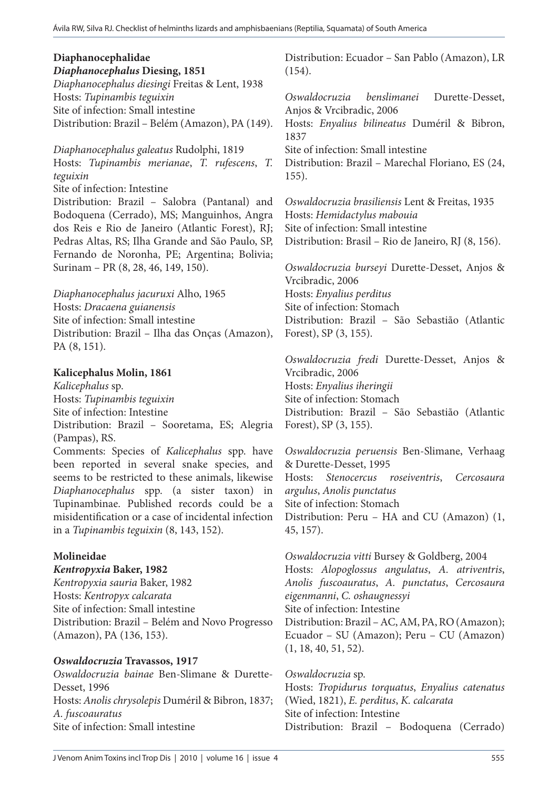# **Diaphanocephalidae**

*Diaphanocephalus* **Diesing, 1851**

*Diaphanocephalus diesingi* Freitas & Lent, 1938 Hosts: *Tupinambis teguixin* Site of infection: Small intestine Distribution: Brazil – Belém (Amazon), PA (149).

*Diaphanocephalus galeatus* Rudolphi, 1819 Hosts: *Tupinambis merianae*, *T. rufescens*, *T. teguixin* Site of infection: Intestine Distribution: Brazil – Salobra (Pantanal) and Bodoquena (Cerrado), MS; Manguinhos, Angra dos Reis e Rio de Janeiro (Atlantic Forest), RJ; Pedras Altas, RS; Ilha Grande and São Paulo, SP, Fernando de Noronha, PE; Argentina; Bolivia; Surinam – PR (8, 28, 46, 149, 150).

*Diaphanocephalus jacuruxi* Alho, 1965 Hosts: *Dracaena guianensis* Site of infection: Small intestine Distribution: Brazil – Ilha das Onças (Amazon), PA (8, 151).

#### **Kalicephalus Molin, 1861**

*Kalicephalus* sp. Hosts: *Tupinambis teguixin* Site of infection: Intestine Distribution: Brazil – Sooretama, ES; Alegria (Pampas), RS. Comments: Species of *Kalicephalus* spp. have been reported in several snake species, and seems to be restricted to these animals, likewise *Diaphanocephalus* spp. (a sister taxon) in Tupinambinae. Published records could be a misidentification or a case of incidental infection in a *Tupinambis teguixin* (8, 143, 152).

# **Molineidae**

#### *Kentropyxia* **Baker, 1982**

*Kentropyxia sauria* Baker, 1982 Hosts: *Kentropyx calcarata* Site of infection: Small intestine Distribution: Brazil – Belém and Novo Progresso (Amazon), PA (136, 153).

#### *Oswaldocruzia* **Travassos, 1917**

*Oswaldocruzia bainae* Ben-Slimane & Durette-Desset, 1996 Hosts: *Anolis chrysolepis* Duméril & Bibron, 1837; *A. fuscoauratus* Site of infection: Small intestine

Distribution: Ecuador – San Pablo (Amazon), LR (154).

*Oswaldocruzia benslimanei* Durette-Desset, Anjos & Vrcibradic, 2006 Hosts: *Enyalius bilineatus* Duméril & Bibron, 1837 Site of infection: Small intestine Distribution: Brazil – Marechal Floriano, ES (24, 155).

*Oswaldocruzia brasiliensis* Lent & Freitas, 1935 Hosts: *Hemidactylus mabouia* Site of infection: Small intestine Distribution: Brasil – Rio de Janeiro, RJ (8, 156).

*Oswaldocruzia burseyi* Durette-Desset, Anjos & Vrcibradic, 2006 Hosts: *Enyalius perditus* Site of infection: Stomach Distribution: Brazil – São Sebastião (Atlantic Forest), SP (3, 155).

*Oswaldocruzia fredi* Durette-Desset, Anjos & Vrcibradic, 2006 Hosts: *Enyalius iheringii* Site of infection: Stomach Distribution: Brazil – São Sebastião (Atlantic Forest), SP (3, 155).

*Oswaldocruzia peruensis* Ben-Slimane, Verhaag & Durette-Desset, 1995 Hosts: *Stenocercus roseiventris*, *Cercosaura argulus*, *Anolis punctatus* Site of infection: Stomach Distribution: Peru – HA and CU (Amazon) (1, 45, 157).

*Oswaldocruzia vitti* Bursey & Goldberg, 2004 Hosts: *Alopoglossus angulatus*, *A. atriventris*, *Anolis fuscoauratus*, *A. punctatus*, *Cercosaura eigenmanni*, *C. oshaugnessyi*  Site of infection: Intestine Distribution: Brazil – AC, AM, PA, RO (Amazon); Ecuador – SU (Amazon); Peru – CU (Amazon) (1, 18, 40, 51, 52).

*Oswaldocruzia* sp. Hosts: *Tropidurus torquatus*, *Enyalius catenatus*  (Wied, 1821), *E. perditus*, *K. calcarata*  Site of infection: Intestine Distribution: Brazil – Bodoquena (Cerrado)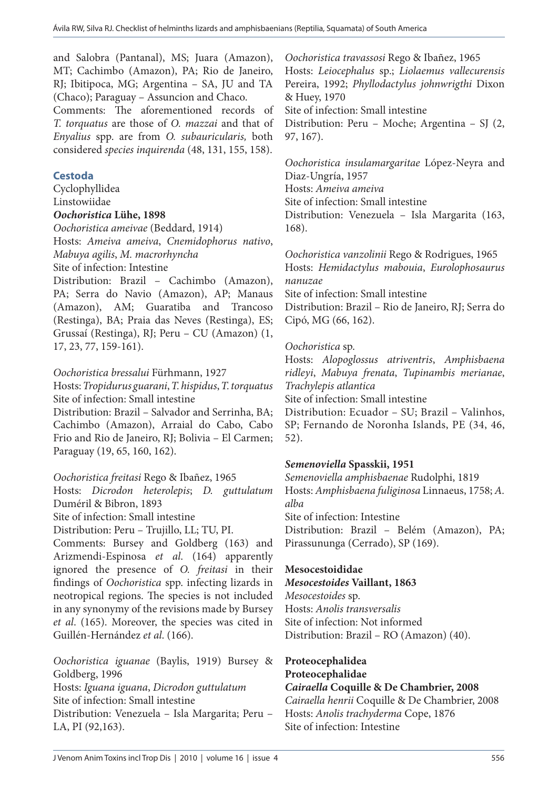and Salobra (Pantanal), MS; Juara (Amazon), MT; Cachimbo (Amazon), PA; Rio de Janeiro, RJ; Ibitipoca, MG; Argentina – SA, JU and TA (Chaco); Paraguay – Assuncion and Chaco.

Comments: The aforementioned records of *T. torquatus* are those of *O. mazzai* and that of *Enyalius* spp. are from *O. subauricularis,* both considered *species inquirenda* (48, 131, 155, 158).

#### **Cestoda**

Cyclophyllidea Linstowiidae *Oochoristica* **Lühe, 1898**

*Oochoristica ameivae* (Beddard, 1914)

Hosts: *Ameiva ameiva*, *Cnemidophorus nativo*, *Mabuya agilis*, *M. macrorhyncha* Site of infection: Intestine

Distribution: Brazil – Cachimbo (Amazon), PA; Serra do Navio (Amazon), AP; Manaus (Amazon), AM; Guaratiba and Trancoso (Restinga), BA; Praia das Neves (Restinga), ES; Grussaí (Restinga), RJ; Peru – CU (Amazon) (1, 17, 23, 77, 159-161).

#### *Oochoristica bressalui* Fürhmann, 1927

Hosts: *Tropidurus guarani*, *T. hispidus*, *T. torquatus* Site of infection: Small intestine

Distribution: Brazil – Salvador and Serrinha, BA; Cachimbo (Amazon), Arraial do Cabo, Cabo Frio and Rio de Janeiro, RJ; Bolivia – El Carmen; Paraguay (19, 65, 160, 162).

#### *Oochoristica freitasi* Rego & Ibañez, 1965

Hosts: *Dicrodon heterolepis*; *D. guttulatum* Duméril & Bibron, 1893

Site of infection: Small intestine

Distribution: Peru – Trujillo, LL; TU, PI.

Comments: Bursey and Goldberg (163) and Arizmendi-Espinosa *et al*. (164) apparently ignored the presence of *O. freitasi* in their findings of *Oochoristica* spp. infecting lizards in neotropical regions. The species is not included in any synonymy of the revisions made by Bursey *et al*. (165). Moreover, the species was cited in Guillén-Hernández *et al*. (166).

*Oochoristica iguanae* (Baylis, 1919) Bursey & Goldberg, 1996 Hosts: *Iguana iguana*, *Dicrodon guttulatum* Site of infection: Small intestine Distribution: Venezuela – Isla Margarita; Peru – LA, PI (92,163).

*Oochoristica travassosi* Rego & Ibañez, 1965 Hosts: *Leiocephalus* sp.; *Liolaemus vallecurensis*  Pereira, 1992; *Phyllodactylus johnwrigthi* Dixon & Huey, 1970 Site of infection: Small intestine Distribution: Peru – Moche; Argentina – SJ (2, 97, 167).

*Oochoristica insulamargaritae* López-Neyra and Diaz-Ungría, 1957 Hosts: *Ameiva ameiva* Site of infection: Small intestine Distribution: Venezuela – Isla Margarita (163, 168).

*Oochoristica vanzolinii* Rego & Rodrigues, 1965 Hosts: *Hemidactylus mabouia*, *Eurolophosaurus nanuzae* Site of infection: Small intestine Distribution: Brazil – Rio de Janeiro, RJ; Serra do Cipó, MG (66, 162).

#### *Oochoristica* sp.

Hosts: *Alopoglossus atriventris*, *Amphisbaena ridleyi*, *Mabuya frenata*, *Tupinambis merianae*, *Trachylepis atlantica*  Site of infection: Small intestine Distribution: Ecuador – SU; Brazil – Valinhos, SP; Fernando de Noronha Islands, PE (34, 46, 52).

#### *Semenoviella* **Spasskii, 1951**

*Semenoviella amphisbaenae* Rudolphi, 1819 Hosts: *Amphisbaena fuliginosa* Linnaeus, 1758; *A. alba*  Site of infection: Intestine Distribution: Brazil – Belém (Amazon), PA;

Pirassununga (Cerrado), SP (169).

#### **Mesocestoididae**

*Mesocestoides* **Vaillant, 1863** *Mesocestoides* sp. Hosts: *Anolis transversalis* Site of infection: Not informed Distribution: Brazil – RO (Amazon) (40).

**Proteocephalidea Proteocephalidae** *Cairaella* **Coquille & De Chambrier, 2008** *Cairaella henrii* Coquille & De Chambrier, 2008 Hosts: *Anolis trachyderma* Cope, 1876 Site of infection: Intestine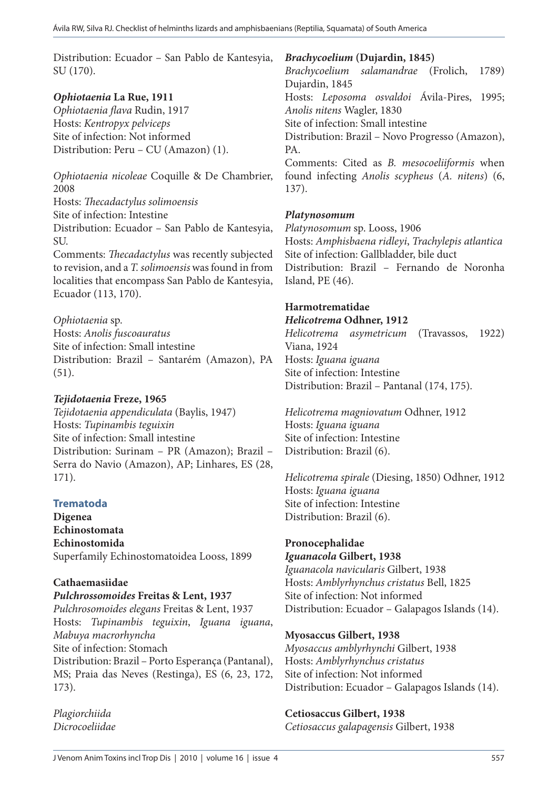Distribution: Ecuador – San Pablo de Kantesyia, SU (170).

# *Ophiotaenia* **La Rue, 1911**

*Ophiotaenia flava* Rudin, 1917 Hosts: *Kentropyx pelviceps* Site of infection: Not informed Distribution: Peru – CU (Amazon) (1).

*Ophiotaenia nicoleae* Coquille & De Chambrier, 2008 Hosts: *Thecadactylus solimoensis*

Site of infection: Intestine

Distribution: Ecuador – San Pablo de Kantesyia, SU.

Comments: *Thecadactylus* was recently subjected to revision, and a *T. solimoensis* was found in from localities that encompass San Pablo de Kantesyia, Ecuador (113, 170).

*Ophiotaenia* sp. Hosts: *Anolis fuscoauratus* Site of infection: Small intestine Distribution: Brazil – Santarém (Amazon), PA (51).

# *Tejidotaenia* **Freze, 1965**

*Tejidotaenia appendiculata* (Baylis, 1947) Hosts: *Tupinambis teguixin* Site of infection: Small intestine Distribution: Surinam – PR (Amazon); Brazil – Serra do Navio (Amazon), AP; Linhares, ES (28, 171).

# **Trematoda**

**Digenea Echinostomata Echinostomida** Superfamily Echinostomatoidea Looss, 1899

# **Cathaemasiidae**

*Pulchrossomoides* **Freitas & Lent, 1937** *Pulchrosomoides elegans* Freitas & Lent, 1937 Hosts: *Tupinambis teguixin*, *Iguana iguana*, *Mabuya macrorhyncha* Site of infection: Stomach Distribution: Brazil – Porto Esperança (Pantanal), MS; Praia das Neves (Restinga), ES (6, 23, 172, 173).

*Plagiorchiida Dicrocoeliidae* *Brachycoelium* **(Dujardin, 1845)**

*Brachycoelium salamandrae* (Frolich, 1789) Dujardin, 1845 Hosts: *Leposoma osvaldoi* Ávila-Pires, 1995; *Anolis nitens* Wagler, 1830 Site of infection: Small intestine Distribution: Brazil – Novo Progresso (Amazon), PA. Comments: Cited as *B. mesocoeliiformis* when found infecting *Anolis scypheus* (*A. nitens*) (6, 137).

# *Platynosomum*

*Platynosomum* sp. Looss, 1906 Hosts: *Amphisbaena ridleyi*, *Trachylepis atlantica* Site of infection: Gallbladder, bile duct Distribution: Brazil – Fernando de Noronha Island, PE (46).

# **Harmotrematidae**

*Helicotrema* **Odhner, 1912**

*Helicotrema asymetricum* (Travassos, 1922) Viana, 1924 Hosts: *Iguana iguana* Site of infection: Intestine Distribution: Brazil – Pantanal (174, 175).

*Helicotrema magniovatum* Odhner, 1912 Hosts: *Iguana iguana* Site of infection: Intestine Distribution: Brazil (6).

*Helicotrema spirale* (Diesing, 1850) Odhner, 1912 Hosts: *Iguana iguana* Site of infection: Intestine Distribution: Brazil (6).

# **Pronocephalidae**

*Iguanacola* **Gilbert, 1938** *Iguanacola navicularis* Gilbert, 1938 Hosts: *Amblyrhynchus cristatus* Bell, 1825 Site of infection: Not informed Distribution: Ecuador – Galapagos Islands (14).

# **Myosaccus Gilbert, 1938**

*Myosaccus amblyrhynchi* Gilbert, 1938 Hosts: *Amblyrhynchus cristatus*  Site of infection: Not informed Distribution: Ecuador – Galapagos Islands (14).

# **Cetiosaccus Gilbert, 1938**

*Cetiosaccus galapagensis* Gilbert, 1938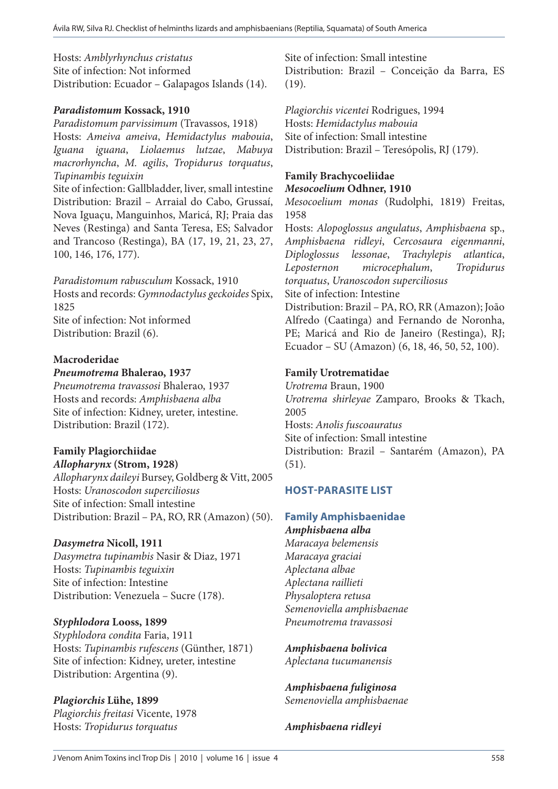Hosts: *Amblyrhynchus cristatus*  Site of infection: Not informed Distribution: Ecuador – Galapagos Islands (14).

# *Paradistomum* **Kossack, 1910**

*Paradistomum parvissimum* (Travassos, 1918) Hosts: *Ameiva ameiva*, *Hemidactylus mabouia*, *Iguana iguana*, *Liolaemus lutzae*, *Mabuya macrorhyncha*, *M. agilis*, *Tropidurus torquatus*, *Tupinambis teguixin*  Site of infection: Gallbladder, liver, small intestine Distribution: Brazil – Arraial do Cabo, Grussaí, Nova Iguaçu, Manguinhos, Maricá, RJ; Praia das Neves (Restinga) and Santa Teresa, ES; Salvador and Trancoso (Restinga), BA (17, 19, 21, 23, 27, 100, 146, 176, 177).

*Paradistomum rabusculum* Kossack, 1910 Hosts and records: *Gymnodactylus geckoides* Spix, 1825 Site of infection: Not informed Distribution: Brazil (6).

# **Macroderidae**

*Pneumotrema* **Bhalerao, 1937**

*Pneumotrema travassosi* Bhalerao, 1937 Hosts and records: *Amphisbaena alba* Site of infection: Kidney, ureter, intestine. Distribution: Brazil (172).

# **Family Plagiorchiidae**

*Allopharynx* **(Strom, 1928)** *Allopharynx daileyi* Bursey, Goldberg & Vitt, 2005 Hosts: *Uranoscodon superciliosus* Site of infection: Small intestine Distribution: Brazil – PA, RO, RR (Amazon) (50).

# *Dasymetra* **Nicoll, 1911**

*Dasymetra tupinambis* Nasir & Diaz, 1971 Hosts: *Tupinambis teguixin*  Site of infection: Intestine Distribution: Venezuela – Sucre (178).

# *Styphlodora* **Looss, 1899**

*Styphlodora condita* Faria, 1911 Hosts: *Tupinambis rufescens* (Günther, 1871) Site of infection: Kidney, ureter, intestine Distribution: Argentina (9).

# *Plagiorchis* **Lühe, 1899**

*Plagiorchis freitasi* Vicente, 1978 Hosts: *Tropidurus torquatus*

Site of infection: Small intestine

Distribution: Brazil – Conceição da Barra, ES (19).

*Plagiorchis vicentei* Rodrigues, 1994 Hosts: *Hemidactylus mabouia* Site of infection: Small intestine Distribution: Brazil – Teresópolis, RJ (179).

#### **Family Brachycoeliidae**  *Mesocoelium* **Odhner, 1910**

*Mesocoelium monas* (Rudolphi, 1819) Freitas, 1958

Hosts: *Alopoglossus angulatus*, *Amphisbaena* sp., *Amphisbaena ridleyi*, *Cercosaura eigenmanni*, *Diploglossus lessonae*, *Trachylepis atlantica*, *Leposternon microcephalum*, *Tropidurus torquatus*, *Uranoscodon superciliosus* Site of infection: Intestine Distribution: Brazil – PA, RO, RR (Amazon); João

Alfredo (Caatinga) and Fernando de Noronha, PE; Maricá and Rio de Janeiro (Restinga), RJ; Ecuador – SU (Amazon) (6, 18, 46, 50, 52, 100).

# **Family Urotrematidae**

*Urotrema* Braun, 1900 *Urotrema shirleyae* Zamparo, Brooks & Tkach, 2005 Hosts: *Anolis fuscoauratus*  Site of infection: Small intestine Distribution: Brazil – Santarém (Amazon), PA (51).

# **HOST-PARASITE LIST**

# **Family Amphisbaenidae**

*Amphisbaena alba Maracaya belemensis Maracaya graciai Aplectana albae Aplectana raillieti Physaloptera retusa Semenoviella amphisbaenae Pneumotrema travassosi*

*Amphisbaena bolivica Aplectana tucumanensis*

*Amphisbaena fuliginosa Semenoviella amphisbaenae*

*Amphisbaena ridleyi*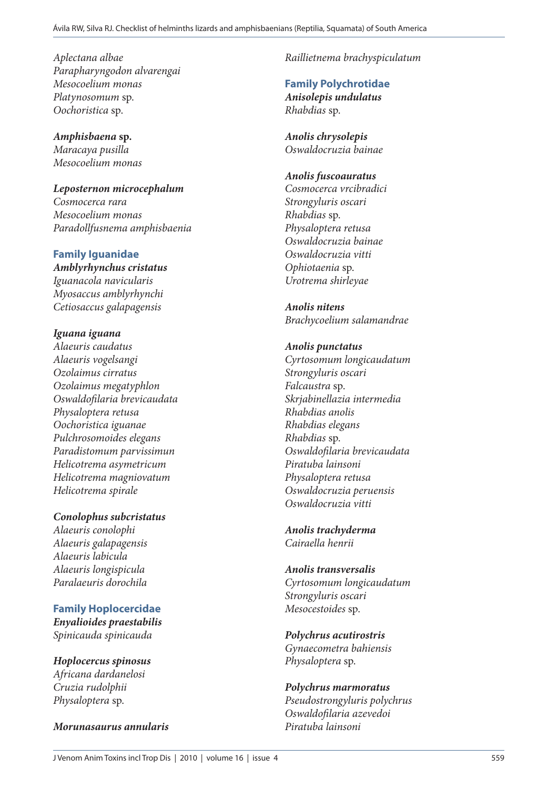*Aplectana albae Parapharyngodon alvarengai Mesocoelium monas Platynosomum* sp. *Oochoristica* sp.

*Amphisbaena* **sp.** *Maracaya pusilla Mesocoelium monas*

*Leposternon microcephalum Cosmocerca rara Mesocoelium monas Paradollfusnema amphisbaenia*

**Family Iguanidae** *Amblyrhynchus cristatus Iguanacola navicularis Myosaccus amblyrhynchi Cetiosaccus galapagensis*

*Iguana iguana Alaeuris caudatus Alaeuris vogelsangi Ozolaimus cirratus Ozolaimus megatyphlon Oswaldofilaria brevicaudata Physaloptera retusa Oochoristica iguanae Pulchrosomoides elegans Paradistomum parvissimun Helicotrema asymetricum Helicotrema magniovatum Helicotrema spirale*

*Conolophus subcristatus*

*Alaeuris conolophi Alaeuris galapagensis Alaeuris labicula Alaeuris longispicula Paralaeuris dorochila*

**Family Hoplocercidae** *Enyalioides praestabilis Spinicauda spinicauda*

*Hoplocercus spinosus Africana dardanelosi Cruzia rudolphii Physaloptera* sp.

*Morunasaurus annularis* 

*Raillietnema brachyspiculatum*

**Family Polychrotidae** *Anisolepis undulatus Rhabdias* sp.

*Anolis chrysolepis Oswaldocruzia bainae*

#### *Anolis fuscoauratus*

*Cosmocerca vrcibradici Strongyluris oscari Rhabdias* sp. *Physaloptera retusa Oswaldocruzia bainae Oswaldocruzia vitti Ophiotaenia* sp. *Urotrema shirleyae*

*Anolis nitens Brachycoelium salamandrae*

*Anolis punctatus Cyrtosomum longicaudatum Strongyluris oscari Falcaustra* sp. *Skrjabinellazia intermedia Rhabdias anolis Rhabdias elegans Rhabdias* sp. *Oswaldofilaria brevicaudata Piratuba lainsoni Physaloptera retusa Oswaldocruzia peruensis Oswaldocruzia vitti*

*Anolis trachyderma Cairaella henrii*

*Anolis transversalis Cyrtosomum longicaudatum Strongyluris oscari Mesocestoides* sp.

*Polychrus acutirostris Gynaecometra bahiensis Physaloptera* sp.

*Polychrus marmoratus Pseudostrongyluris polychrus Oswaldofilaria azevedoi Piratuba lainsoni*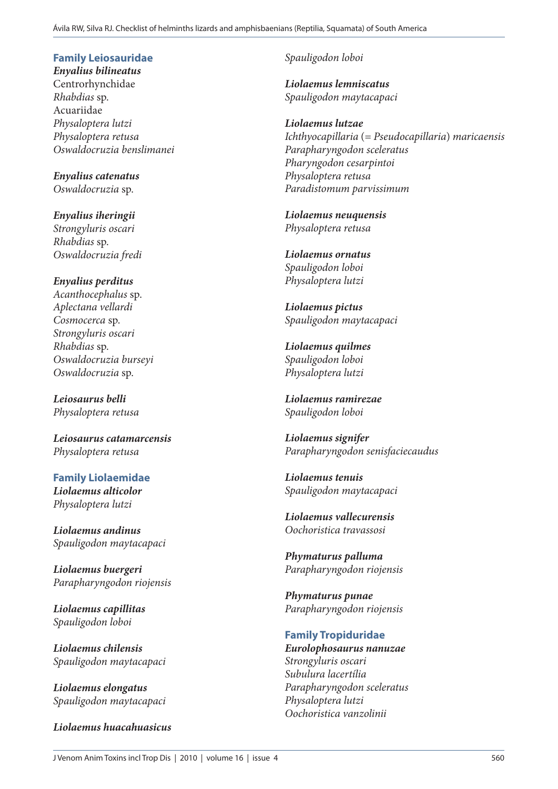# **Family Leiosauridae**

*Enyalius bilineatus* Centrorhynchidae *Rhabdias* sp. Acuariidae *Physaloptera lutzi Physaloptera retusa Oswaldocruzia benslimanei*

*Enyalius catenatus Oswaldocruzia* sp.

*Enyalius iheringii Strongyluris oscari Rhabdias* sp. *Oswaldocruzia fredi*

*Enyalius perditus Acanthocephalus* sp. *Aplectana vellardi Cosmocerca* sp. *Strongyluris oscari Rhabdias* sp. *Oswaldocruzia burseyi Oswaldocruzia* sp.

*Leiosaurus belli Physaloptera retusa*

*Leiosaurus catamarcensis Physaloptera retusa*

**Family Liolaemidae** *Liolaemus alticolor Physaloptera lutzi*

*Liolaemus andinus Spauligodon maytacapaci*

*Liolaemus buergeri Parapharyngodon riojensis*

*Liolaemus capillitas Spauligodon loboi*

*Liolaemus chilensis Spauligodon maytacapaci*

*Liolaemus elongatus Spauligodon maytacapaci*

*Liolaemus huacahuasicus*

*Spauligodon loboi*

*Liolaemus lemniscatus Spauligodon maytacapaci*

*Liolaemus lutzae Ichthyocapillaria* (= *Pseudocapillaria*) *maricaensis Parapharyngodon sceleratus Pharyngodon cesarpintoi Physaloptera retusa Paradistomum parvissimum*

*Liolaemus neuquensis Physaloptera retusa*

*Liolaemus ornatus Spauligodon loboi Physaloptera lutzi*

*Liolaemus pictus Spauligodon maytacapaci*

*Liolaemus quilmes Spauligodon loboi Physaloptera lutzi*

*Liolaemus ramirezae Spauligodon loboi*

*Liolaemus signifer Parapharyngodon senisfaciecaudus*

*Liolaemus tenuis Spauligodon maytacapaci*

*Liolaemus vallecurensis Oochoristica travassosi*

*Phymaturus palluma Parapharyngodon riojensis*

*Phymaturus punae Parapharyngodon riojensis*

# **Family Tropiduridae**

*Eurolophosaurus nanuzae Strongyluris oscari Subulura lacertília Parapharyngodon sceleratus Physaloptera lutzi Oochoristica vanzolinii*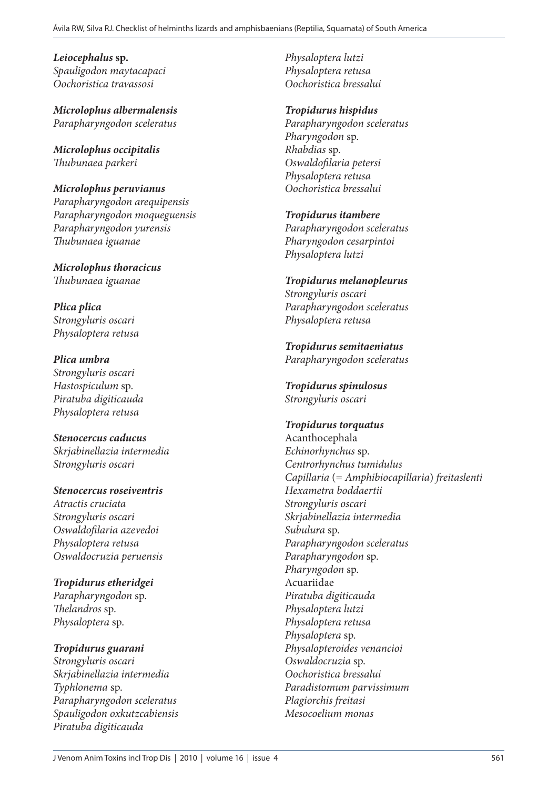*Leiocephalus* **sp.** *Spauligodon maytacapaci Oochoristica travassosi*

*Microlophus albermalensis Parapharyngodon sceleratus*

*Microlophus occipitalis Thubunaea parkeri*

*Microlophus peruvianus Parapharyngodon arequipensis Parapharyngodon moqueguensis Parapharyngodon yurensis Thubunaea iguanae*

*Microlophus thoracicus Thubunaea iguanae*

*Plica plica Strongyluris oscari Physaloptera retusa*

*Plica umbra Strongyluris oscari Hastospiculum* sp. *Piratuba digiticauda Physaloptera retusa*

*Stenocercus caducus Skrjabinellazia intermedia Strongyluris oscari*

*Stenocercus roseiventris Atractis cruciata Strongyluris oscari Oswaldofilaria azevedoi Physaloptera retusa Oswaldocruzia peruensis*

*Tropidurus etheridgei Parapharyngodon* sp. *Thelandros* sp. *Physaloptera* sp.

*Tropidurus guarani Strongyluris oscari Skrjabinellazia intermedia Typhlonema* sp. *Parapharyngodon sceleratus Spauligodon oxkutzcabiensis Piratuba digiticauda*

*Physaloptera lutzi Physaloptera retusa Oochoristica bressalui*

*Tropidurus hispidus*

*Parapharyngodon sceleratus Pharyngodon* sp. *Rhabdias* sp. *Oswaldofilaria petersi Physaloptera retusa Oochoristica bressalui*

*Tropidurus itambere Parapharyngodon sceleratus Pharyngodon cesarpintoi Physaloptera lutzi*

*Tropidurus melanopleurus Strongyluris oscari Parapharyngodon sceleratus Physaloptera retusa*

*Tropidurus semitaeniatus Parapharyngodon sceleratus*

*Tropidurus spinulosus Strongyluris oscari*

*Tropidurus torquatus* Acanthocephala *Echinorhynchus* sp. *Centrorhynchus tumidulus Capillaria* (= *Amphibiocapillaria*) *freitaslenti Hexametra boddaertii Strongyluris oscari Skrjabinellazia intermedia Subulura* sp. *Parapharyngodon sceleratus Parapharyngodon* sp. *Pharyngodon* sp. Acuariidae *Piratuba digiticauda Physaloptera lutzi Physaloptera retusa Physaloptera* sp. *Physalopteroides venancioi Oswaldocruzia* sp. *Oochoristica bressalui Paradistomum parvissimum Plagiorchis freitasi Mesocoelium monas*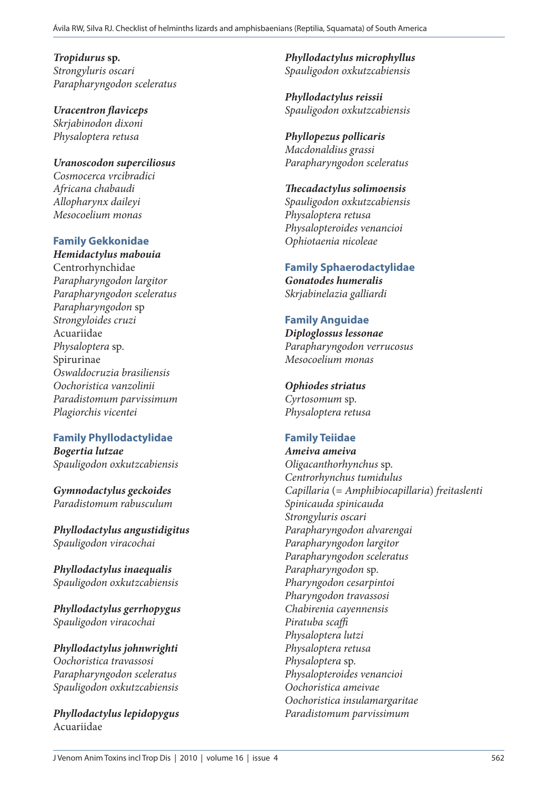*Tropidurus* **sp.** *Strongyluris oscari Parapharyngodon sceleratus*

*Uracentron flaviceps Skrjabinodon dixoni Physaloptera retusa*

*Uranoscodon superciliosus Cosmocerca vrcibradici Africana chabaudi Allopharynx daileyi Mesocoelium monas*

# **Family Gekkonidae**

*Hemidactylus mabouia* Centrorhynchidae *Parapharyngodon largitor Parapharyngodon sceleratus Parapharyngodon* sp *Strongyloides cruzi* Acuariidae *Physaloptera* sp. Spirurinae *Oswaldocruzia brasiliensis Oochoristica vanzolinii Paradistomum parvissimum Plagiorchis vicentei*

# **Family Phyllodactylidae**

*Bogertia lutzae Spauligodon oxkutzcabiensis*

*Gymnodactylus geckoides Paradistomum rabusculum*

*Phyllodactylus angustidigitus Spauligodon viracochai*

*Phyllodactylus inaequalis Spauligodon oxkutzcabiensis*

*Phyllodactylus gerrhopygus Spauligodon viracochai*

*Phyllodactylus johnwrighti Oochoristica travassosi Parapharyngodon sceleratus Spauligodon oxkutzcabiensis*

*Phyllodactylus lepidopygus* Acuariidae

*Phyllodactylus microphyllus Spauligodon oxkutzcabiensis*

*Phyllodactylus reissii Spauligodon oxkutzcabiensis*

# *Phyllopezus pollicaris*

*Macdonaldius grassi Parapharyngodon sceleratus*

#### *Thecadactylus solimoensis*

*Spauligodon oxkutzcabiensis Physaloptera retusa Physalopteroides venancioi Ophiotaenia nicoleae*

# **Family Sphaerodactylidae**

*Gonatodes humeralis Skrjabinelazia galliardi*

# **Family Anguidae**

*Diploglossus lessonae Parapharyngodon verrucosus Mesocoelium monas*

# *Ophiodes striatus*

*Cyrtosomum* sp. *Physaloptera retusa*

# **Family Teiidae**

*Ameiva ameiva Oligacanthorhynchus* sp. *Centrorhynchus tumidulus Capillaria* (= *Amphibiocapillaria*) *freitaslenti Spinicauda spinicauda Strongyluris oscari Parapharyngodon alvarengai Parapharyngodon largitor Parapharyngodon sceleratus Parapharyngodon* sp. *Pharyngodon cesarpintoi Pharyngodon travassosi Chabirenia cayennensis Piratuba scaffi Physaloptera lutzi Physaloptera retusa Physaloptera* sp. *Physalopteroides venancioi Oochoristica ameivae Oochoristica insulamargaritae Paradistomum parvissimum*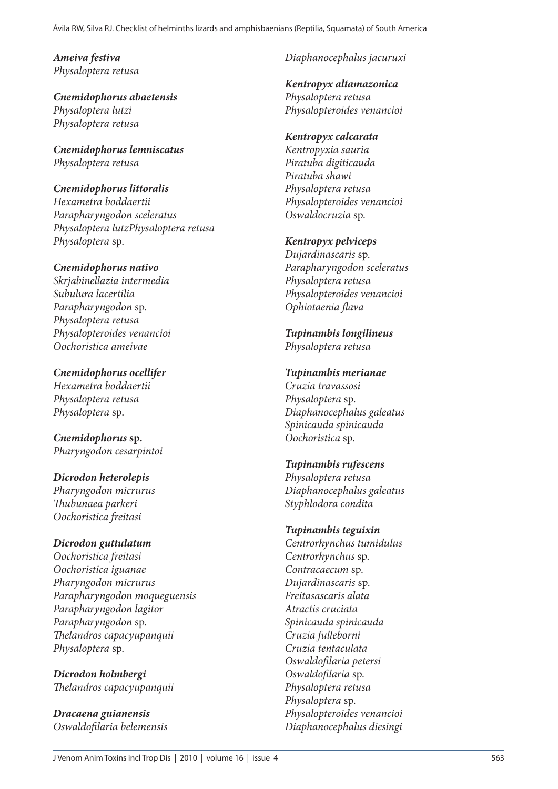*Ameiva festiva Physaloptera retusa*

*Cnemidophorus abaetensis Physaloptera lutzi Physaloptera retusa*

*Cnemidophorus lemniscatus Physaloptera retusa*

#### *Cnemidophorus littoralis*

*Hexametra boddaertii Parapharyngodon sceleratus Physaloptera lutzPhysaloptera retusa Physaloptera* sp.

#### *Cnemidophorus nativo*

*Skrjabinellazia intermedia Subulura lacertilia Parapharyngodon* sp. *Physaloptera retusa Physalopteroides venancioi Oochoristica ameivae*

*Cnemidophorus ocellifer Hexametra boddaertii Physaloptera retusa Physaloptera* sp.

*Cnemidophorus* **sp.** *Pharyngodon cesarpintoi*

*Dicrodon heterolepis Pharyngodon micrurus Thubunaea parkeri Oochoristica freitasi*

# *Dicrodon guttulatum*

*Oochoristica freitasi Oochoristica iguanae Pharyngodon micrurus Parapharyngodon moqueguensis Parapharyngodon lagitor Parapharyngodon* sp. *Thelandros capacyupanquii Physaloptera* sp.

*Dicrodon holmbergi Thelandros capacyupanquii*

*Dracaena guianensis Oswaldofilaria belemensis*

# *Diaphanocephalus jacuruxi*

*Kentropyx altamazonica*

*Physaloptera retusa Physalopteroides venancioi*

#### *Kentropyx calcarata*

*Kentropyxia sauria Piratuba digiticauda Piratuba shawi Physaloptera retusa Physalopteroides venancioi Oswaldocruzia* sp.

#### *Kentropyx pelviceps*

*Dujardinascaris* sp. *Parapharyngodon sceleratus Physaloptera retusa Physalopteroides venancioi Ophiotaenia flava*

#### *Tupinambis longilineus Physaloptera retusa*

#### *Tupinambis merianae*

*Cruzia travassosi Physaloptera* sp. *Diaphanocephalus galeatus Spinicauda spinicauda Oochoristica* sp.

#### *Tupinambis rufescens*

*Physaloptera retusa Diaphanocephalus galeatus Styphlodora condita*

# *Tupinambis teguixin*

*Centrorhynchus tumidulus Centrorhynchus* sp. *Contracaecum* sp. *Dujardinascaris* sp. *Freitasascaris alata Atractis cruciata Spinicauda spinicauda Cruzia fulleborni Cruzia tentaculata Oswaldofilaria petersi Oswaldofilaria* sp. *Physaloptera retusa Physaloptera* sp. *Physalopteroides venancioi Diaphanocephalus diesingi*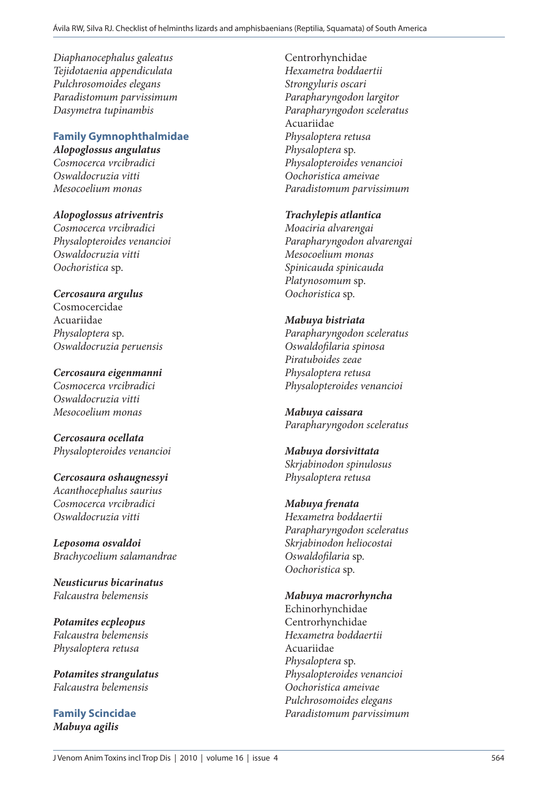*Diaphanocephalus galeatus Tejidotaenia appendiculata Pulchrosomoides elegans Paradistomum parvissimum Dasymetra tupinambis*

#### **Family Gymnophthalmidae** *Alopoglossus angulatus*

*Cosmocerca vrcibradici Oswaldocruzia vitti Mesocoelium monas*

*Alopoglossus atriventris Cosmocerca vrcibradici Physalopteroides venancioi Oswaldocruzia vitti Oochoristica* sp.

#### *Cercosaura argulus* Cosmocercidae Acuariidae *Physaloptera* sp. *Oswaldocruzia peruensis*

*Cercosaura eigenmanni Cosmocerca vrcibradici Oswaldocruzia vitti Mesocoelium monas*

*Cercosaura ocellata Physalopteroides venancioi* 

*Cercosaura oshaugnessyi Acanthocephalus saurius Cosmocerca vrcibradici Oswaldocruzia vitti*

*Leposoma osvaldoi Brachycoelium salamandrae*

*Neusticurus bicarinatus Falcaustra belemensis*

*Potamites ecpleopus Falcaustra belemensis Physaloptera retusa*

*Potamites strangulatus Falcaustra belemensis*

**Family Scincidae** *Mabuya agilis*

Centrorhynchidae *Hexametra boddaertii Strongyluris oscari Parapharyngodon largitor Parapharyngodon sceleratus* Acuariidae *Physaloptera retusa Physaloptera* sp. *Physalopteroides venancioi Oochoristica ameivae Paradistomum parvissimum*

*Trachylepis atlantica*

*Moaciria alvarengai Parapharyngodon alvarengai Mesocoelium monas Spinicauda spinicauda Platynosomum* sp. *Oochoristica* sp.

#### *Mabuya bistriata*

*Parapharyngodon sceleratus Oswaldofilaria spinosa Piratuboides zeae Physaloptera retusa Physalopteroides venancioi*

*Mabuya caissara Parapharyngodon sceleratus*

*Mabuya dorsivittata Skrjabinodon spinulosus Physaloptera retusa*

#### *Mabuya frenata*

*Hexametra boddaertii Parapharyngodon sceleratus Skrjabinodon heliocostai Oswaldofilaria* sp. *Oochoristica* sp.

*Mabuya macrorhyncha*

Echinorhynchidae Centrorhynchidae *Hexametra boddaertii* Acuariidae *Physaloptera* sp. *Physalopteroides venancioi Oochoristica ameivae Pulchrosomoides elegans Paradistomum parvissimum*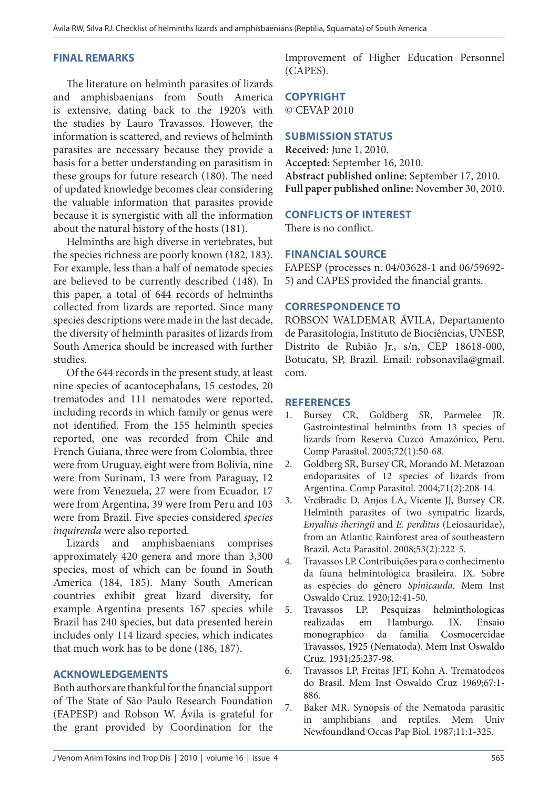#### **FINAL REMARKS**

The literature on helminth parasites of lizards and amphisbaenians from South America is extensive, dating back to the 1920's with the studies by Lauro Travassos. However, the information is scattered, and reviews of helminth parasites are necessary because they provide a basis for a better understanding on parasitism in these groups for future research (180). The need of updated knowledge becomes clear considering the valuable information that parasites provide because it is synergistic with all the information about the natural history of the hosts (181).

Helminths are high diverse in vertebrates, but the species richness are poorly known (182, 183). For example, less than a half of nematode species are believed to be currently described (148). In this paper, a total of 644 records of helminths collected from lizards are reported. Since many species descriptions were made in the last decade, the diversity of helminth parasites of lizards from South America should be increased with further studies.

Of the 644 records in the present study, at least nine species of acantocephalans, 15 cestodes, 20 trematodes and 111 nematodes were reported, including records in which family or genus were not identified. From the 155 helminth species reported, one was recorded from Chile and French Guiana, three were from Colombia, three were from Uruguay, eight were from Bolivia, nine were from Surinam, 13 were from Paraguay, 12 were from Venezuela, 27 were from Ecuador, 17 were from Argentina, 39 were from Peru and 103 were from Brazil. Five species considered *species inquirenda* were also reported.

Lizards and amphisbaenians comprises approximately 420 genera and more than 3,300 species, most of which can be found in South America (184, 185). Many South American countries exhibit great lizard diversity, for example Argentina presents 167 species while Brazil has 240 species, but data presented herein includes only 114 lizard species, which indicates that much work has to be done (186, 187).

#### **ACKNOWLEDGEMENTS**

Both authors are thankful for the financial support of The State of São Paulo Research Foundation (FAPESP) and Robson W. Ávila is grateful for the grant provided by Coordination for the

Improvement of Higher Education Personnel (CAPES).

# **COPYRIGHT**

© CEVAP 2010

#### **SUBMISSION STATUS**

**Received:** June 1, 2010. **Accepted:** September 16, 2010. **Abstract published online:** September 17, 2010. **Full paper published online:** November 30, 2010.

#### **CONFLICTS OF INTEREST**

There is no conflict.

# **FINANCIAL SOURCE**

FAPESP (processes n. 04/03628-1 and 06/59692- 5) and CAPES provided the financial grants.

#### **CORRESPONDENCE TO**

ROBSON WALDEMAR ÁVILA, Departamento de Parasitologia, Instituto de Biociências, UNESP, Distrito de Rubião Jr., s/n, CEP 18618-000, Botucatu, SP, Brazil. Email: robsonavila@gmail. com.

#### **REFERENCES**

- 1. Bursey CR, Goldberg SR, Parmelee JR. Gastrointestinal helminths from 13 species of lizards from Reserva Cuzco Amazónico, Peru. Comp Parasitol. 2005;72(1):50-68.
- 2. Goldberg SR, Bursey CR, Morando M. Metazoan endoparasites of 12 species of lizards from Argentina. Comp Parasitol. 2004;71(2):208-14.
- 3. Vrcibradic D, Anjos LA, Vicente JJ, Bursey CR. Helminth parasites of two sympatric lizards, *Enyalius iheringii* and *E. perditus* (Leiosauridae), from an Atlantic Rainforest area of southeastern Brazil. Acta Parasitol. 2008;53(2):222-5.
- 4. Travassos LP. Contribuições para o conhecimento da fauna helmintológica brasileira. IX. Sobre as espécies do gênero *Spinicauda*. Mem Inst Oswaldo Cruz. 1920;12:41-50.
- 5. Travassos LP. Pesquizas helminthologicas realizadas em Hamburgo. IX. Ensaio monographico da familia Cosmocercidae Travassos, 1925 (Nematoda). Mem Inst Oswaldo Cruz. 1931;25:237-98.
- 6. Travassos LP, Freitas JFT, Kohn A. Trematodeos do Brasil. Mem Inst Oswaldo Cruz 1969;67:1- 886.
- 7. Baker MR. Synopsis of the Nematoda parasitic in amphibians and reptiles. Mem Univ Newfoundland Occas Pap Biol. 1987;11:1-325.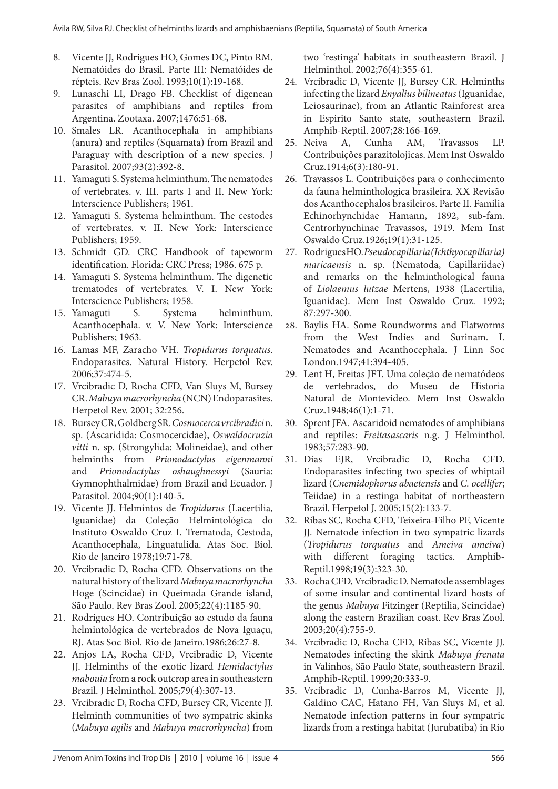- 8. Vicente JJ, Rodrigues HO, Gomes DC, Pinto RM. Nematóides do Brasil. Parte III: Nematóides de répteis. Rev Bras Zool. 1993;10(1):19-168.
- 9. Lunaschi LI, Drago FB. Checklist of digenean parasites of amphibians and reptiles from Argentina. Zootaxa. 2007;1476:51-68.
- 10. Smales LR. Acanthocephala in amphibians (anura) and reptiles (Squamata) from Brazil and Paraguay with description of a new species. J Parasitol. 2007;93(2):392-8.
- 11. Yamaguti S. Systema helminthum. The nematodes of vertebrates. v. III. parts I and II. New York: Interscience Publishers; 1961.
- 12. Yamaguti S. Systema helminthum. The cestodes of vertebrates. v. II. New York: Interscience Publishers; 1959.
- 13. Schmidt GD. CRC Handbook of tapeworm identification. Florida: CRC Press; 1986. 675 p.
- 14. Yamaguti S. Systema helminthum. The digenetic trematodes of vertebrates*.* V. I. New York: Interscience Publishers; 1958.
- 15. Yamaguti S. Systema helminthum. Acanthocephala. v. V. New York: Interscience Publishers; 1963.
- 16. Lamas MF, Zaracho VH. *Tropidurus torquatus*. Endoparasites. Natural History. Herpetol Rev. 2006;37:474-5.
- 17. Vrcibradic D, Rocha CFD, Van Sluys M, Bursey CR. *Mabuya macrorhyncha* (NCN) Endoparasites. Herpetol Rev. 2001; 32:256.
- 18. Bursey CR, Goldberg SR. *Cosmocerca vrcibradici* n. sp. (Ascaridida: Cosmocercidae), *Oswaldocruzia vitti* n. sp. (Strongylida: Molineidae), and other helminths from *Prionodactylus eigenmanni*  and *Prionodactylus oshaughnessyi* (Sauria: Gymnophthalmidae) from Brazil and Ecuador. J Parasitol. 2004;90(1):140-5.
- 19. Vicente JJ. Helmintos de *Tropidurus* (Lacertilia, Iguanidae) da Coleção Helmintológica do Instituto Oswaldo Cruz I. Trematoda, Cestoda, Acanthocephala, Linguatulida. Atas Soc. Biol. Rio de Janeiro 1978;19:71-78.
- 20. Vrcibradic D, Rocha CFD. Observations on the natural history of the lizard *Mabuya macrorhyncha* Hoge (Scincidae) in Queimada Grande island, São Paulo. Rev Bras Zool. 2005;22(4):1185-90.
- 21. Rodrigues HO. Contribuição ao estudo da fauna helmintológica de vertebrados de Nova Iguaçu, RJ. Atas Soc Biol. Rio de Janeiro.1986;26:27-8.
- 22. Anjos LA, Rocha CFD, Vrcibradic D, Vicente JJ. Helminths of the exotic lizard *Hemidactylus mabouia* from a rock outcrop area in southeastern Brazil. J Helminthol. 2005;79(4):307-13.
- 23. Vrcibradic D, Rocha CFD, Bursey CR, Vicente JJ. Helminth communities of two sympatric skinks (*Mabuya agilis* and *Mabuya macrorhyncha*) from

two 'restinga' habitats in southeastern Brazil. J Helminthol. 2002;76(4):355-61.

- 24. Vrcibradic D, Vicente JJ, Bursey CR. Helminths infecting the lizard *Enyalius bilineatus* (Iguanidae, Leiosaurinae), from an Atlantic Rainforest area in Espirito Santo state, southeastern Brazil. Amphib-Reptil. 2007;28:166-169.
- 25. Neiva A, Cunha AM, Travassos LP. Contribuições parazitolojicas. Mem Inst Oswaldo Cruz.1914;6(3):180-91.
- 26. Travassos L. Contribuições para o conhecimento da fauna helminthologica brasileira. XX Revisão dos Acanthocephalos brasileiros. Parte II. Familia Echinorhynchidae Hamann, 1892, sub-fam. Centrorhynchinae Travassos, 1919. Mem Inst Oswaldo Cruz.1926;19(1):31-125.
- 27. Rodrigues HO. *Pseudocapillaria (Ichthyocapillaria) maricaensis* n. sp. (Nematoda, Capillariidae) and remarks on the helminthological fauna of *Liolaemus lutzae* Mertens, 1938 (Lacertilia, Iguanidae). Mem Inst Oswaldo Cruz. 1992; 87:297-300.
- 28. Baylis HA. Some Roundworms and Flatworms from the West Indies and Surinam. I. Nematodes and Acanthocephala. J Linn Soc London.1947;41:394-405.
- 29. Lent H, Freitas JFT. Uma coleção de nematódeos de vertebrados, do Museu de Historia Natural de Montevideo. Mem Inst Oswaldo Cruz.1948;46(1):1-71.
- 30. Sprent JFA. Ascaridoid nematodes of amphibians and reptiles: *Freitasascaris* n.g. J Helminthol. 1983;57:283-90.
- 31. Dias EJR, Vrcibradic D, Rocha CFD. Endoparasites infecting two species of whiptail lizard (*Cnemidophorus abaetensis* and *C. ocellifer*; Teiidae) in a restinga habitat of northeastern Brazil. Herpetol J. 2005;15(2):133-7.
- 32. Ribas SC, Rocha CFD, Teixeira-Filho PF, Vicente JJ. Nematode infection in two sympatric lizards (*Tropidurus torquatus* and *Ameiva ameiva*) with different foraging tactics. Amphib-Reptil.1998;19(3):323-30.
- 33. Rocha CFD, Vrcibradic D. Nematode assemblages of some insular and continental lizard hosts of the genus *Mabuya* Fitzinger (Reptilia, Scincidae) along the eastern Brazilian coast. Rev Bras Zool. 2003;20(4):755-9.
- 34. Vrcibradic D, Rocha CFD, Ribas SC, Vicente JJ. Nematodes infecting the skink *Mabuya frenata* in Valinhos, São Paulo State, southeastern Brazil. Amphib-Reptil. 1999;20:333-9.
- 35. Vrcibradic D, Cunha-Barros M, Vicente JJ, Galdino CAC, Hatano FH, Van Sluys M, et al. Nematode infection patterns in four sympatric lizards from a restinga habitat (Jurubatiba) in Rio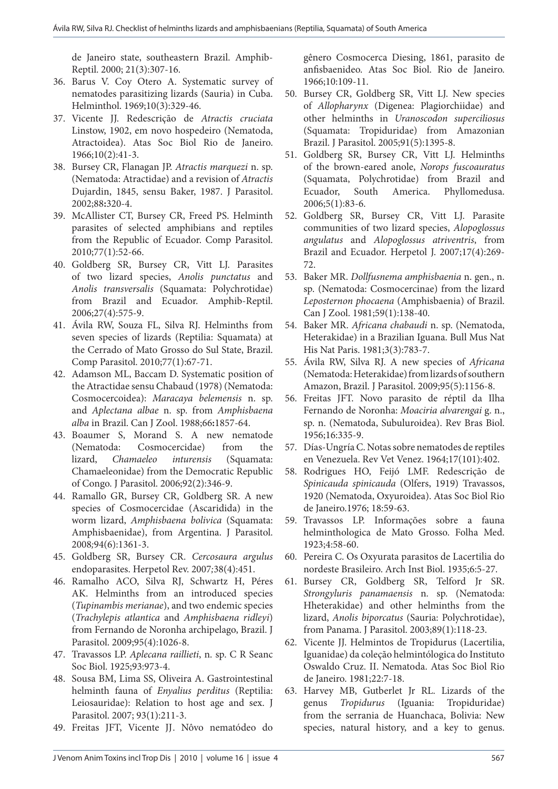de Janeiro state, southeastern Brazil. Amphib-Reptil. 2000; 21(3):307-16.

- 36. Barus V. Coy Otero A. Systematic survey of nematodes parasitizing lizards (Sauria) in Cuba. Helminthol. 1969;10(3):329-46.
- 37. Vicente JJ. Redescrição de *Atractis cruciata* Linstow, 1902, em novo hospedeiro (Nematoda, Atractoidea). Atas Soc Biol Rio de Janeiro. 1966;10(2):41-3.
- 38. Bursey CR, Flanagan JP. *Atractis marquezi* n. sp. (Nematoda: Atractidae) and a revision of *Atractis* Dujardin, 1845, sensu Baker, 1987. J Parasitol. 2002;88**:**320-4.
- 39. McAllister CT, Bursey CR, Freed PS. Helminth parasites of selected amphibians and reptiles from the Republic of Ecuador. Comp Parasitol. 2010;77(1):52-66.
- 40. Goldberg SR, Bursey CR, Vitt LJ. Parasites of two lizard species, *Anolis punctatus* and *Anolis transversalis* (Squamata: Polychrotidae) from Brazil and Ecuador. Amphib-Reptil. 2006;27(4):575-9.
- 41. Ávila RW, Souza FL, Silva RJ. Helminths from seven species of lizards (Reptilia: Squamata) at the Cerrado of Mato Grosso do Sul State, Brazil. Comp Parasitol. 2010;77(1):67-71.
- 42. Adamson ML, Baccam D. Systematic position of the Atractidae sensu Chabaud (1978) (Nematoda: Cosmocercoidea): *Maracaya belemensis* n. sp. and *Aplectana albae* n. sp. from *Amphisbaena alba* in Brazil. Can J Zool. 1988;66**:**1857-64.
- 43. Boaumer S, Morand S. A new nematode (Nematoda: Cosmocercidae) from the lizard, *Chamaeleo inturensis* (Squamata: Chamaeleonidae) from the Democratic Republic of Congo. J Parasitol. 2006;92(2):346-9.
- 44. Ramallo GR, Bursey CR, Goldberg SR. A new species of Cosmocercidae (Ascaridida) in the worm lizard, *Amphisbaena bolivica* (Squamata: Amphisbaenidae), from Argentina. J Parasitol. 2008*;*94(6):1361-3.
- 45. Goldberg SR, Bursey CR. *Cercosaura argulus*  endoparasites. Herpetol Rev. 2007*;*38(4):451.
- 46. Ramalho ACO, Silva RJ, Schwartz H, Péres AK. Helminths from an introduced species (*Tupinambis merianae*), and two endemic species (*Trachylepis atlantica* and *Amphisbaena ridleyi*) from Fernando de Noronha archipelago, Brazil. J Parasitol. 2009;95(4):1026-8.
- 47. Travassos LP. *Aplecana raillieti*, n. sp. C R Seanc Soc Biol. 1925;93:973-4.
- 48. Sousa BM, Lima SS, Oliveira A. Gastrointestinal helminth fauna of *Enyalius perditus* (Reptilia: Leiosauridae): Relation to host age and sex. J Parasitol. 2007; 93(1):211-3.
- 49. Freitas JFT, Vicente JJ. Nôvo nematódeo do

gênero Cosmocerca Diesing, 1861, parasito de anfisbaenideo. Atas Soc Biol. Rio de Janeiro. 1966;10:109-11.

- 50. Bursey CR, Goldberg SR, Vitt LJ. New species of *Allopharynx* (Digenea: Plagiorchiidae) and other helminths in *Uranoscodon superciliosus*  (Squamata: Tropiduridae) from Amazonian Brazil. J Parasitol. 2005;91(5):1395-8.
- 51. Goldberg SR, Bursey CR, Vitt LJ. Helminths of the brown-eared anole, *Norops fuscoauratus*  (Squamata, Polychrotidae) from Brazil and Ecuador, South America. Phyllomedusa. 2006;5(1):83-6.
- 52. Goldberg SR, Bursey CR, Vitt LJ. Parasite communities of two lizard species, *Alopoglossus angulatus* and *Alopoglossus atriventris*, from Brazil and Ecuador. Herpetol J. 2007;17(4):269- 72.
- 53. Baker MR. *Dollfusnema amphisbaenia* n. gen., n. sp. (Nematoda: Cosmocercinae) from the lizard *Leposternon phocaena* (Amphisbaenia) of Brazil. Can J Zool. 1981;59(1):138-40.
- 54. Baker MR. *Africana chabaudi* n. sp. (Nematoda, Heterakidae) in a Brazilian Iguana. Bull Mus Nat His Nat Paris. 1981;3(3):783-7.
- 55. Ávila RW, Silva RJ. A new species of *Africana* (Nematoda: Heterakidae) from lizards of southern Amazon, Brazil. J Parasitol. 2009;95(5):1156-8.
- 56. Freitas JFT. Novo parasito de réptil da Ilha Fernando de Noronha: *Moaciria alvarengai* g. n., sp. n. (Nematoda, Subuluroidea). Rev Bras Biol. 1956;16:335-9.
- 57. Días-Ungría C. Notas sobre nematodes de reptiles en Venezuela. Rev Vet Venez. 1964;17(101):402.
- 58. Rodrigues HO, Feijó LMF. Redescrição de *Spinicauda spinicauda* (Olfers, 1919) Travassos, 1920 (Nematoda, Oxyuroidea). Atas Soc Biol Rio de Janeiro.1976; 18:59-63.
- 59. Travassos LP. Informações sobre a fauna helminthologica de Mato Grosso. Folha Med. 1923;4:58-60.
- 60. Pereira C. Os Oxyurata parasitos de Lacertilia do nordeste Brasileiro. Arch Inst Biol. 1935;6:5-27.
- 61. Bursey CR, Goldberg SR, Telford Jr SR. *Strongyluris panamaensis* n. sp. (Nematoda: Hheterakidae) and other helminths from the lizard, *Anolis biporcatus* (Sauria: Polychrotidae), from Panama. J Parasitol. 2003;89(1):118-23.
- 62. Vicente JJ. Helmintos de Tropidurus (Lacertilia, Iguanidae) da coleção helmintólogica do Instituto Oswaldo Cruz. II. Nematoda. Atas Soc Biol Rio de Janeiro. 1981;22:7-18.
- 63. Harvey MB, Gutberlet Jr RL. Lizards of the genus *Tropidurus* (Iguania: Tropiduridae) from the serrania de Huanchaca, Bolivia: New species, natural history, and a key to genus.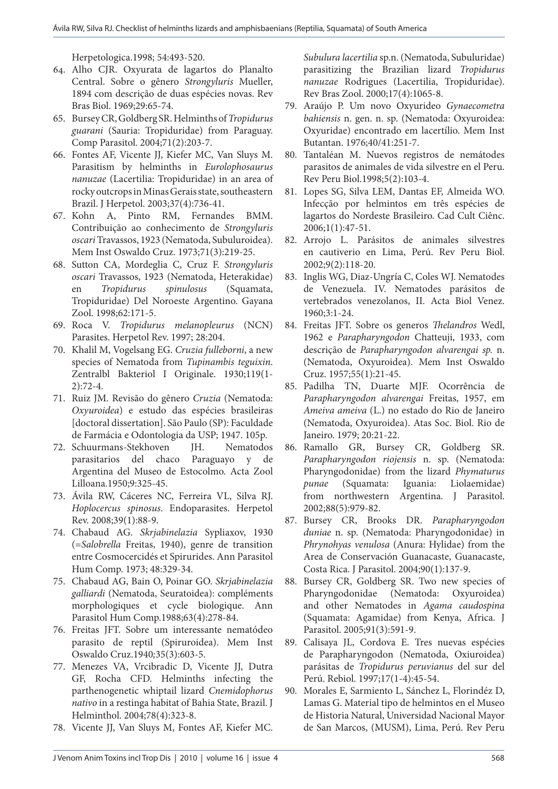Herpetologica.1998; 54:493-520.

- 64. Alho CJR. Oxyurata de lagartos do Planalto Central. Sobre o gênero *Strongyluris* Mueller, 1894 com descrição de duas espécies novas. Rev Bras Biol. 1969;29:65-74.
- 65. Bursey CR, Goldberg SR. Helminths of *Tropidurus guarani* (Sauria: Tropiduridae) from Paraguay. Comp Parasitol. 2004;71(2):203-7.
- 66. Fontes AF, Vicente JJ, Kiefer MC, Van Sluys M. Parasitism by helminths in *Eurolophosaurus nanuzae* (Lacertilia: Tropiduridae) in an area of rocky outcrops in Minas Gerais state, southeastern Brazil. J Herpetol. 2003;37(4):736-41.
- 67. Kohn A, Pinto RM, Fernandes BMM. Contribuição ao conhecimento de *Strongyluris oscari* Travassos, 1923 (Nematoda, Subuluroidea). Mem Inst Oswaldo Cruz. 1973;71(3):219-25.
- 68. Sutton CA, Mordeglia C, Cruz F. *Strongyluris oscari* Travassos, 1923 (Nematoda, Heterakidae) en *Tropidurus spinulosus* (Squamata, Tropiduridae) Del Noroeste Argentino. Gayana Zool. 1998;62:171-5.
- 69. Roca V. *Tropidurus melanopleurus* (NCN) Parasites. Herpetol Rev. 1997; 28:204.
- 70. Khalil M, Vogelsang EG. *Cruzia fulleborni*, a new species of Nematoda from *Tupinambis teguixin*. Zentralbl Bakteriol I Originale. 1930;119(1- 2):72-4.
- 71. Ruiz JM. Revisão do gênero *Cruzia* (Nematoda: *Oxyuroidea*) e estudo das espécies brasileiras [doctoral dissertation]. São Paulo (SP): Faculdade de Farmácia e Odontologia da USP; 1947. 105p.
- 72. Schuurmans-Stekhoven JH. Nematodos parasitarios del chaco Paraguayo y de Argentina del Museo de Estocolmo. Acta Zool Lilloana.1950;9:325-45.
- 73. Ávila RW, Cáceres NC, Ferreira VL, Silva RJ. *Hoplocercus spinosus*. Endoparasites. Herpetol Rev. 2008;39(1):88-9.
- 74. Chabaud AG. *Skrjabinelazia* Sypliaxov, 1930 (=*Salobrella* Freitas, 1940), genre de transition entre Cosmocercidés et Spirurides. Ann Parasitol Hum Comp. 1973; 48:329-34.
- 75. Chabaud AG, Bain O, Poinar GO. *Skrjabinelazia galliardi* (Nematoda, Seuratoidea): compléments morphologiques et cycle biologique. Ann Parasitol Hum Comp.1988;63(4):278-84.
- 76. Freitas JFT. Sobre um interessante nematódeo parasito de reptil (Spiruroidea). Mem Inst Oswaldo Cruz.1940*;*35(3):603-5.
- 77. Menezes VA, Vrcibradic D, Vicente JJ, Dutra GF, Rocha CFD. Helminths infecting the parthenogenetic whiptail lizard *Cnemidophorus nativo* in a restinga habitat of Bahia State, Brazil. J Helminthol. 2004;78(4):323-8.
- 78. Vicente JJ, Van Sluys M, Fontes AF, Kiefer MC.

*Subulura lacertilia* sp.n. (Nematoda, Subuluridae) parasitizing the Brazilian lizard *Tropidurus nanuzae* Rodrigues (Lacertilia, Tropiduridae). Rev Bras Zool. 2000;17(4):1065-8.

- 79. Araújo P. Um novo Oxyurideo *Gynaecometra bahiensis* n. gen. n. sp. (Nematoda: Oxyuroidea: Oxyuridae) encontrado em lacertílio. Mem Inst Butantan. 1976;40/41:251-7.
- 80. Tantaléan M. Nuevos registros de nemátodes parasitos de animales de vida silvestre en el Peru. Rev Peru Biol.1998;5(2):103-4.
- 81. Lopes SG, Silva LEM, Dantas EF, Almeida WO. Infecção por helmintos em três espécies de lagartos do Nordeste Brasileiro. Cad Cult Ciênc. 2006;1(1):47-51.
- 82. Arrojo L. Parásitos de animales silvestres en cautiverio en Lima, Perú. Rev Peru Biol. 2002;9(2):118-20.
- 83. Inglis WG, Diaz-Ungría C, Coles WJ. Nematodes de Venezuela. IV. Nematodes parásitos de vertebrados venezolanos, II. Acta Biol Venez. 1960;3:1-24.
- 84. Freitas JFT. Sobre os generos *Thelandros* Wedl, 1962 e *Parapharyngodon* Chatteuji, 1933, com descrição de *Parapharyngodon alvarengai sp.* n. (Nematoda, Oxyuroidea). Mem Inst Oswaldo Cruz. 1957;55(1):21-45.
- 85. Padilha TN, Duarte MJF. Ocorrência de *Parapharyngodon alvarengai* Freitas, 1957, em *Ameiva ameiva* (L.) no estado do Rio de Janeiro (Nematoda, Oxyuroidea). Atas Soc. Biol. Rio de Janeiro. 1979; 20:21-22.
- 86. Ramallo GR, Bursey CR, Goldberg SR. *Parapharyngodon riojensis* n. sp. (Nematoda: Pharyngodonidae) from the lizard *Phymaturus punae* (Squamata: Iguania: Liolaemidae) from northwestern Argentina. J Parasitol. 2002;88(5):979-82.
- 87. Bursey CR, Brooks DR. *Parapharyngodon duniae* n. sp. (Nematoda: Pharyngodonidae) in *Phrynohyas venulosa* (Anura: Hylidae) from the Area de Conservación Guanacaste, Guanacaste, Costa Rica. J Parasitol. 2004;90(1):137-9.
- 88. Bursey CR, Goldberg SR. Two new species of Pharyngodonidae (Nematoda: Oxyuroidea) and other Nematodes in *Agama caudospina* (Squamata: Agamidae) from Kenya, Africa. J Parasitol. 2005;91(3):591-9.
- 89. Calisaya JL, Cordova E. Tres nuevas espécies de Parapharyngodon (Nematoda, Oxiuroidea) parásitas de *Tropidurus peruvianus* del sur del Perú. Rebiol. 1997;17(1-4):45-54.
- 90. Morales E, Sarmiento L, Sánchez L, Florindéz D, Lamas G. Material tipo de helmintos en el Museo de Historia Natural, Universidad Nacional Mayor de San Marcos, (MUSM), Lima, Perú. Rev Peru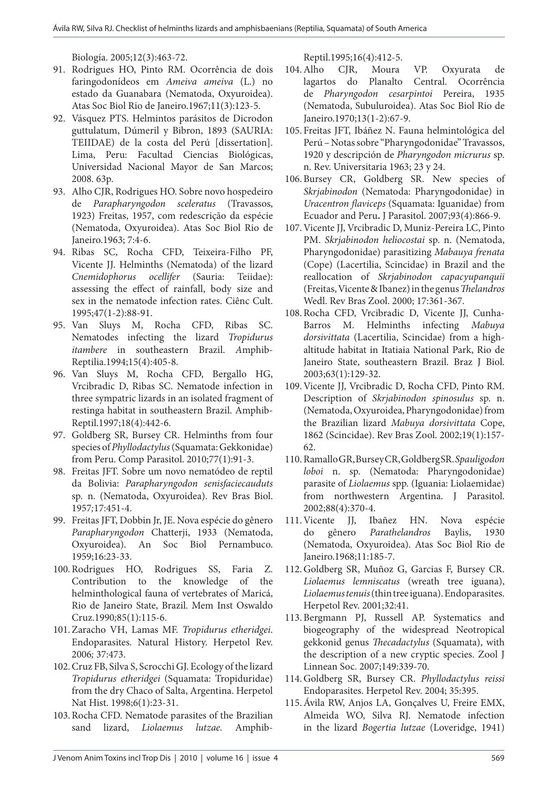Biología. 2005;12(3):463-72.

- 91. Rodrigues HO, Pinto RM. Ocorrência de dois faringodonídeos em *Ameiva ameiva* (L.) no estado da Guanabara (Nematoda, Oxyuroidea). Atas Soc Biol Rio de Janeiro.1967;11(3):123-5.
- 92. Vásquez PTS. Helmintos parásitos de Dicrodon guttulatum, Dúmeril y Bibron, 1893 (SAURIA: TEIIDAE) de la costa del Perú [dissertation]. Lima, Peru: Facultad Ciencias Biológicas, Universidad Nacional Mayor de San Marcos; 2008. 63p.
- 93. Alho CJR, Rodrigues HO. Sobre novo hospedeiro de *Parapharyngodon sceleratus* (Travassos, 1923) Freitas, 1957, com redescrição da espécie (Nematoda, Oxyuroidea). Atas Soc Biol Rio de Janeiro.1963; 7:4-6.
- 94. Ribas SC, Rocha CFD, Teixeira-Filho PF, Vicente JJ. Helminths (Nematoda) of the lizard *Cnemidophorus ocellifer* (Sauria: Teiidae): assessing the effect of rainfall, body size and sex in the nematode infection rates. Ciênc Cult. 1995;47(1-2):88-91.
- 95. Van Sluys M, Rocha CFD, Ribas SC. Nematodes infecting the lizard *Tropidurus itambere* in southeastern Brazil. *A*mphib-Reptilia.1994;15(4):405-8.
- 96. Van Sluys M, Rocha CFD, Bergallo HG, Vrcibradic D, Ribas SC. Nematode infection in three sympatric lizards in an isolated fragment of restinga habitat in southeastern Brazil. Amphib-Reptil.1997;18(4):442-6.
- 97. Goldberg SR, Bursey CR. Helminths from four species of *Phyllodactylus* (Squamata: Gekkonidae) from Peru. Comp Parasitol. 2010;77(1):91-3.
- 98. Freitas JFT. Sobre um novo nematódeo de reptil da Bolivia: *Parapharyngodon senisfaciecauduts*  sp*.* n. (Nematoda, Oxyuroidea). Rev Bras Biol. 1957*;*17:451-4.
- 99. Freitas JFT, Dobbin Jr, JE. Nova espécie do gênero *Parapharyngodon* Chatterji, 1933 (Nematoda, Oxyuroidea). An Soc Biol Pernambuco. 1959;16:23-33.
- 100.Rodrigues HO, Rodrigues SS, Faria Z. Contribution to the knowledge of the helminthological fauna of vertebrates of Maricá, Rio de Janeiro State, Brazil. Mem Inst Oswaldo Cruz.1990*;*85(1):115-6.
- 101.Zaracho VH, Lamas MF. *Tropidurus etheridgei*. Endoparasites. Natural History. Herpetol Rev. 2006*;* 37:473.
- 102.Cruz FB, Silva S, Scrocchi GJ. Ecology of the lizard *Tropidurus etheridgei* (Squamata: Tropiduridae) from the dry Chaco of Salta, Argentina. Herpetol Nat Hist. 1998;6(1):23-31.
- 103.Rocha CFD. Nematode parasites of the Brazilian sand lizard, *Liolaemus lutzae.* Amphib-

Reptil.1995;16(4):412-5.

- 104.Alho CJR, Moura VP. Oxyurata de lagartos do Planalto Central. Ocorrência de *Pharyngodon cesarpintoi* Pereira, 1935 (Nematoda, Subuluroidea). Atas Soc Biol Rio de Janeiro.1970;13(1-2):67-9.
- 105. Freitas JFT, Ibáñez N. Fauna helmintológica del Perú – Notas sobre "Pharyngodonidae" Travassos, 1920 y descripción de *Pharyngodon micrurus* sp. n. Rev. Universitaria 1963; 23 y 24.
- 106.Bursey CR, Goldberg SR. New species of *Skrjabinodon* (Nematoda: Pharyngodonidae) in *Uracentron flaviceps* (Squamata: Iguanidae) from Ecuador and Peru**.** J Parasitol. 2007;93(4):866-9.
- 107.Vicente JJ, Vrcibradic D, Muniz-Pereira LC, Pinto PM. *Skrjabinodon heliocostai* sp. n. (Nematoda, Pharyngodonidae) parasitizing *Mabauya frenata*  (Cope) (Lacertilia, Scincidae) in Brazil and the reallocation of *Skrjabinodon capacyupanquii*  (Freitas, Vicente & Ibanez) in the genus *Thelandros*  Wedl. Rev Bras Zool. 2000; 17:361-367.
- 108.Rocha CFD, Vrcibradic D, Vicente JJ, Cunha-Barros M. Helminths infecting *Mabuya dorsivittata* (Lacertilia, Scincidae) from a highaltitude habitat in Itatiaia National Park, Rio de Janeiro State, southeastern Brazil. Braz J Biol. 2003;63(1):129-32.
- 109.Vicente JJ, Vrcibradic D, Rocha CFD, Pinto RM. Description of *Skrjabinodon spinosulus* sp. n. (Nematoda, Oxyuroidea, Pharyngodonidae) from the Brazilian lizard *Mabuya dorsivittata* Cope, 1862 (Scincidae). Rev Bras Zool. 2002;19(1):157- 62.
- 110.Ramallo GR, Bursey CR, Goldberg SR. *Spauligodon loboi* n. sp. (Nematoda: Pharyngodonidae) parasite of *Liolaemus* spp. (Iguania: Liolaemidae) from northwestern Argentina. J Parasitol. 2002;88(4):370-4.
- 111.Vicente JJ, Ibañez HN. Nova espécie do gênero *Parathelandros* Baylis, 1930 (Nematoda, Oxyuroidea). Atas Soc Biol Rio de Janeiro.1968;11:185-7.
- 112.Goldberg SR, Muñoz G, Garcias F, Bursey CR. *Liolaemus lemniscatus* (wreath tree iguana), *Liolaemus tenuis* (thin tree iguana). Endoparasites. Herpetol Rev. 2001;32:41.
- 113.Bergmann PJ, Russell AP. Systematics and biogeography of the widespread Neotropical gekkonid genus *Thecadactylus* (Squamata), with the description of a new cryptic species. Zool J Linnean Soc. 2007;149:339-70.
- 114.Goldberg SR, Bursey CR. *Phyllodactylus reissi*  Endoparasites. Herpetol Rev. 2004; 35:395.
- 115.Ávila RW, Anjos LA, Gonçalves U, Freire EMX, Almeida WO, Silva RJ. Nematode infection in the lizard *Bogertia lutzae* (Loveridge, 1941)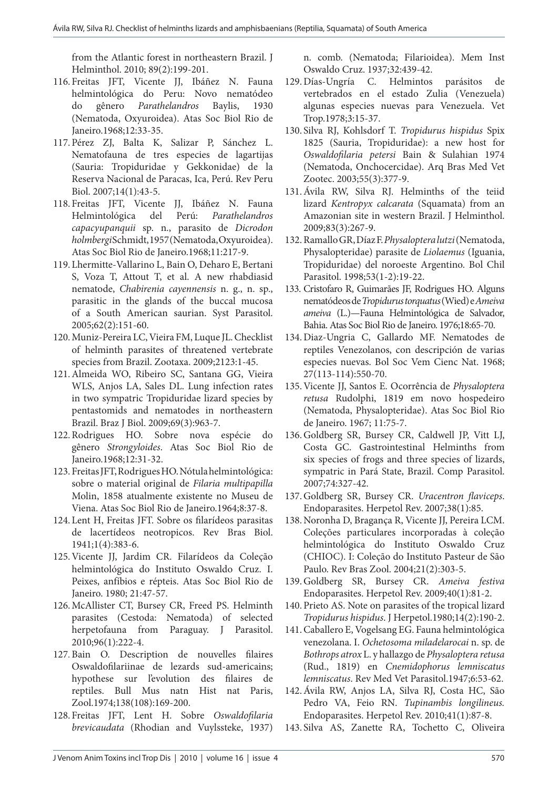from the Atlantic forest in northeastern Brazil. J Helminthol. 2010; 89(2):199-201.

- 116. Freitas JFT, Vicente JJ, Ibáñez N. Fauna helmintológica do Peru: Novo nematódeo do gênero *Parathelandros* Baylis, 1930 (Nematoda, Oxyuroidea). Atas Soc Biol Rio de Janeiro.1968;12:33-35.
- 117.Pérez ZJ, Balta K, Salizar P, Sánchez L. Nematofauna de tres especies de lagartijas (Sauria: Tropiduridae y Gekkonidae) de la Reserva Nacional de Paracas, Ica, Perú. Rev Peru Biol. 2007;14(1):43-5.
- 118. Freitas JFT, Vicente JJ, Ibáñez N. Fauna Helmintológica del Perú: *Parathelandros capacyupanquii* sp. n., parasito de *Dicrodon holmbergi* Schmidt, 1957 (Nematoda, Oxyuroidea). Atas Soc Biol Rio de Janeiro.1968;11:217-9.
- 119. Lhermitte-Vallarino L, Bain O, Deharo E, Bertani S, Voza T, Attout T, et al. A new rhabdiasid nematode, *Chabirenia cayennensis* n. g., n. sp., parasitic in the glands of the buccal mucosa of a South American saurian. Syst Parasitol. 2005;62(2):151-60.
- 120.Muniz-Pereira LC, Vieira FM, Luque JL. Checklist of helminth parasites of threatened vertebrate species from Brazil. Zootaxa. 2009;2123:1-45.
- 121.Almeida WO, Ribeiro SC, Santana GG, Vieira WLS, Anjos LA, Sales DL. Lung infection rates in two sympatric Tropiduridae lizard species by pentastomids and nematodes in northeastern Brazil. Braz J Biol. 2009;69(3):963-7.
- 122.Rodrigues HO. Sobre nova espécie do gênero *Strongyloides*. Atas Soc Biol Rio de Janeiro.1968;12:31-32.
- 123. Freitas JFT, Rodrigues HO. Nótula helmintológica: sobre o material original de *Filaria multipapilla* Molin, 1858 atualmente existente no Museu de Viena. Atas Soc Biol Rio de Janeiro.1964;8:37-8.
- 124. Lent H, Freitas JFT. Sobre os filarídeos parasitas de lacertídeos neotropicos. Rev Bras Biol. 1941;1(4):383-6.
- 125.Vicente JJ, Jardim CR. Filarídeos da Coleção helmintológica do Instituto Oswaldo Cruz. I. Peixes, anfíbios e répteis. Atas Soc Biol Rio de Janeiro. 1980; 21:47-57.
- 126.McAllister CT, Bursey CR, Freed PS. Helminth parasites (Cestoda: Nematoda) of selected herpetofauna from Paraguay. J Parasitol. 2010;96(1):222-4.
- 127. Bain O. Description de nouvelles filaires Oswaldofilariinae de lezards sud-americains; hypothese sur l'evolution des filaires de reptiles. Bull Mus natn Hist nat Paris, Zool.1974;138(108):169-200.
- 128. Freitas JFT, Lent H. Sobre *Oswaldofilaria brevicaudata* (Rhodian and Vuylssteke, 1937)

n. comb. (Nematoda; Filarioidea). Mem Inst Oswaldo Cruz. 1937;32:439-42.

- 129.Días-Ungría C. Helmintos parásitos de vertebrados en el estado Zulia (Venezuela) algunas especies nuevas para Venezuela. Vet Trop.1978;3:15-37.
- 130. Silva RJ, Kohlsdorf T. *Tropidurus hispidus* Spix 1825 (Sauria, Tropiduridae): a new host for *Oswaldofilaria petersi* Bain & Sulahian 1974 (Nematoda, Onchocercidae). Arq Bras Med Vet Zootec. 2003;55(3):377-9.
- 131.Ávila RW, Silva RJ. Helminths of the teiid lizard *Kentropyx calcarata* (Squamata) from an Amazonian site in western Brazil. J Helminthol. 2009;83(3):267-9.
- 132.Ramallo GR, Díaz F. *Physaloptera lutzi* (Nematoda, Physalopteridae) parasite de *Liolaemus* (Iguania, Tropiduridae) del noroeste Argentino. Bol Chil Parasitol. 1998;53(1-2):19-22.
- 133. Cristofaro R, Guimarães JF, Rodrigues HO. Alguns nematódeos de *Tropidurus torquatus* (Wied) e *Ameiva ameiva* (L.)—Fauna Helmintológica de Salvador, Bahia. Atas Soc Biol Rio de Janeiro. 1976;18:65-70.
- 134.Diaz-Ungria C, Gallardo MF. Nematodes de reptiles Venezolanos, con descripción de varias especies nuevas. Bol Soc Vem Cienc Nat. 1968; 27(113-114):550-70.
- 135.Vicente JJ, Santos E. Ocorrência de *Physaloptera retusa* Rudolphi, 1819 em novo hospedeiro (Nematoda, Physalopteridae). Atas Soc Biol Rio de Janeiro. 1967; 11:75-7.
- 136.Goldberg SR, Bursey CR, Caldwell JP, Vitt LJ, Costa GC. Gastrointestinal Helminths from six species of frogs and three species of lizards, sympatric in Pará State, Brazil. Comp Parasitol. 2007;74:327-42.
- 137.Goldberg SR, Bursey CR. *Uracentron flaviceps*. Endoparasites. Herpetol Rev. 2007;38(1):85.
- 138.Noronha D, Bragança R, Vicente JJ, Pereira LCM. Coleções particulares incorporadas à coleção helmintológica do Instituto Oswaldo Cruz (CHIOC). I: Coleção do Instituto Pasteur de São Paulo. Rev Bras Zool. 2004;21(2):303-5.
- 139.Goldberg SR, Bursey CR. *Ameiva festiva*  Endoparasites. Herpetol Rev. 2009;40(1):81-2.
- 140.Prieto AS. Note on parasites of the tropical lizard *Tropidurus hispidus*. J Herpetol.1980;14(2):190-2.
- 141.Caballero E, Vogelsang EG. Fauna helmintológica venezolana. I. *Ochetosoma miladelarocai* n. sp. de *Bothrops atrox* L. y hallazgo de *Physaloptera retusa* (Rud., 1819) en *Cnemidophorus lemniscatus lemniscatus*. Rev Med Vet Parasitol.1947;6:53-62.
- 142.Ávila RW, Anjos LA, Silva RJ, Costa HC, São Pedro VA, Feio RN. *Tupinambis longilineus.*  Endoparasites. Herpetol Rev. 2010;41(1):87-8.
- 143. Silva AS, Zanette RA, Tochetto C, Oliveira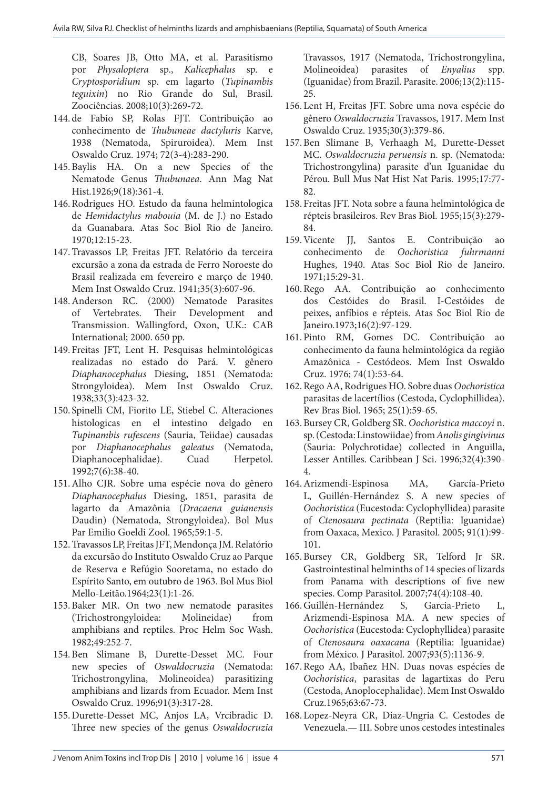CB, Soares JB, Otto MA, et al. Parasitismo por *Physaloptera* sp., *Kalicephalus* sp. e *Cryptosporidium* sp. em lagarto (*Tupinambis teguixin*) no Rio Grande do Sul, Brasil. Zoociências. 2008;10(3):269-72.

- 144. de Fabio SP, Rolas FJT. Contribuição ao conhecimento de *Thubuneae dactyluris* Karve, 1938 (Nematoda, Spiruroidea). Mem Inst Oswaldo Cruz. 1974; 72(3-4):283-290.
- 145.Baylis HA. On a new Species of the Nematode Genus *Thubunaea*. Ann Mag Nat Hist.1926;9(18):361-4.
- 146.Rodrigues HO. Estudo da fauna helmintologica de *Hemidactylus mabouia* (M. de J.) no Estado da Guanabara. Atas Soc Biol Rio de Janeiro. 1970;12:15-23.
- 147.Travassos LP, Freitas JFT. Relatório da terceira excursão a zona da estrada de Ferro Noroeste do Brasil realizada em fevereiro e março de 1940. Mem Inst Oswaldo Cruz. 1941;35(3):607-96.
- 148.Anderson RC. (2000) Nematode Parasites of Vertebrates. Their Development and Transmission. Wallingford, Oxon, U.K.: CAB International; 2000. 650 pp.
- 149. Freitas JFT, Lent H. Pesquisas helmintológicas realizadas no estado do Pará. V. gênero *Diaphanocephalus* Diesing, 1851 (Nematoda: Strongyloidea). Mem Inst Oswaldo Cruz. 1938;33(3):423-32.
- 150. Spinelli CM, Fiorito LE, Stiebel C. Alteraciones histologicas en el intestino delgado en *Tupinambis rufescens* (Sauria, Teiidae) causadas por *Diaphanocephalus galeatus* (Nematoda, Diaphanocephalidae). Cuad Herpetol. 1992;7(6):38-40.
- 151.Alho CJR. Sobre uma espécie nova do gênero *Diaphanocephalus* Diesing, 1851, parasita de lagarto da Amazônia (*Dracaena guianensis* Daudin) (Nematoda, Strongyloidea). Bol Mus Par Emilio Goeldi Zool. 1965*;*59:1-5.
- 152.Travassos LP, Freitas JFT, Mendonça JM. Relatório da excursão do Instituto Oswaldo Cruz ao Parque de Reserva e Refúgio Sooretama, no estado do Espírito Santo, em outubro de 1963. Bol Mus Biol Mello-Leitão.1964;23(1):1-26.
- 153.Baker MR. On two new nematode parasites (Trichostrongyloidea: Molineidae) from amphibians and reptiles. Proc Helm Soc Wash. 1982;49:252-7.
- 154.Ben Slimane B, Durette-Desset MC. Four new species of *Oswaldocruzia* (Nematoda: Trichostrongylina, Molineoidea) parasitizing amphibians and lizards from Ecuador. Mem Inst Oswaldo Cruz. 1996;91(3):317-28.
- 155.Durette-Desset MC, Anjos LA, Vrcibradic D. Three new species of the genus *Oswaldocruzia*

Travassos, 1917 (Nematoda, Trichostrongylina, Molineoidea) parasites of *Enyalius* spp. (Iguanidae) from Brazil. Parasite. 2006;13(2):115- 25.

- 156. Lent H, Freitas JFT. Sobre uma nova espécie do gênero *Oswaldocruzia* Travassos, 1917. Mem Inst Oswaldo Cruz. 1935;30(3):379-86.
- 157.Ben Slimane B, Verhaagh M, Durette-Desset MC. *Oswaldocruzia peruensis* n. sp. (Nematoda: Trichostrongylina) parasite d'un Iguanidae du Pérou. Bull Mus Nat Hist Nat Paris. 1995;17:77- 82.
- 158. Freitas JFT. Nota sobre a fauna helmintológica de répteis brasileiros. Rev Bras Biol. 1955;15(3):279- 84.
- 159.Vicente JJ, Santos E. Contribuição ao conhecimento de *Oochoristica fuhrmanni*  Hughes, 1940. Atas Soc Biol Rio de Janeiro. 1971;15:29-31.
- 160.Rego AA. Contribuição ao conhecimento dos Cestóides do Brasil. I-Cestóides de peixes, anfíbios e répteis. Atas Soc Biol Rio de Janeiro.1973;16(2):97-129.
- 161.Pinto RM, Gomes DC. Contribuição ao conhecimento da fauna helmintológica da região Amazônica - Cestódeos. Mem Inst Oswaldo Cruz. 1976; 74(1):53-64.
- 162.Rego AA, Rodrigues HO. Sobre duas *Oochoristica*  parasitas de lacertílios (Cestoda, Cyclophillidea). Rev Bras Biol. 1965; 25(1):59-65.
- 163.Bursey CR, Goldberg SR. *Oochoristica maccoyi* n. sp. (Cestoda: Linstowiidae) from *Anolis gingivinus*  (Sauria: Polychrotidae) collected in Anguilla, Lesser Antilles. Caribbean J Sci. 1996;32(4):390- 4.
- 164.Arizmendi-Espinosa MA, García-Prieto L, Guillén-Hernández S. A new species of *Oochoristica* (Eucestoda: Cyclophyllidea) parasite of *Ctenosaura pectinata* (Reptilia: Iguanidae) from Oaxaca, Mexico. J Parasitol. 2005; 91(1):99- 101.
- 165.Bursey CR, Goldberg SR, Telford Jr SR. Gastrointestinal helminths of 14 species of lizards from Panama with descriptions of five new species. Comp Parasitol. 2007;74(4):108-40.
- 166.Guillén-Hernández S, Garcia-Prieto L, Arizmendi-Espinosa MA. A new species of *Oochoristica* (Eucestoda: Cyclophyllidea) parasite of *Ctenosaura oaxacana* (Reptilia: Iguanidae) from México. J Parasitol. 2007;93(5):1136-9.
- 167.Rego AA, Ibañez HN. Duas novas espécies de *Oochoristica*, parasitas de lagartixas do Peru (Cestoda, Anoplocephalidae). Mem Inst Oswaldo Cruz.1965;63:67-73.
- 168. Lopez-Neyra CR, Diaz-Ungria C. Cestodes de Venezuela.— III. Sobre unos cestodes intestinales